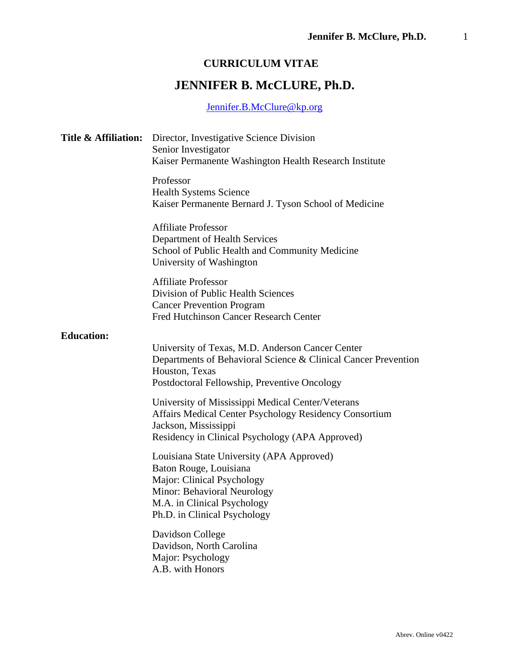# **CURRICULUM VITAE**

# **JENNIFER B. McCLURE, Ph.D.**

# [Jennifer.B.McClure@kp.org](mailto:Jennifer.B.McClure@kp.org)

| Title & Affiliation: | Director, Investigative Science Division<br>Senior Investigator<br>Kaiser Permanente Washington Health Research Institute                                                                       |
|----------------------|-------------------------------------------------------------------------------------------------------------------------------------------------------------------------------------------------|
|                      | Professor<br><b>Health Systems Science</b><br>Kaiser Permanente Bernard J. Tyson School of Medicine                                                                                             |
|                      | <b>Affiliate Professor</b><br>Department of Health Services<br>School of Public Health and Community Medicine<br>University of Washington                                                       |
|                      | <b>Affiliate Professor</b><br>Division of Public Health Sciences<br><b>Cancer Prevention Program</b><br>Fred Hutchinson Cancer Research Center                                                  |
| <b>Education:</b>    | University of Texas, M.D. Anderson Cancer Center<br>Departments of Behavioral Science & Clinical Cancer Prevention<br>Houston, Texas<br>Postdoctoral Fellowship, Preventive Oncology            |
|                      | University of Mississippi Medical Center/Veterans<br>Affairs Medical Center Psychology Residency Consortium<br>Jackson, Mississippi<br>Residency in Clinical Psychology (APA Approved)          |
|                      | Louisiana State University (APA Approved)<br>Baton Rouge, Louisiana<br>Major: Clinical Psychology<br>Minor: Behavioral Neurology<br>M.A. in Clinical Psychology<br>Ph.D. in Clinical Psychology |
|                      | Davidson College<br>Davidson, North Carolina<br>Major: Psychology<br>A.B. with Honors                                                                                                           |
|                      |                                                                                                                                                                                                 |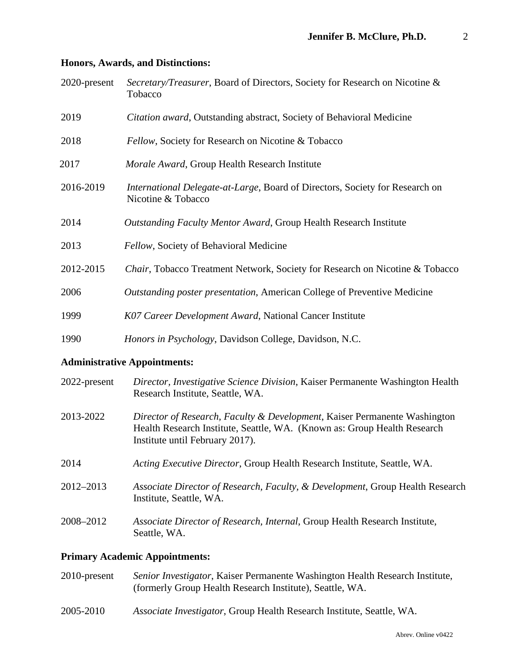#### **Honors, Awards, and Distinctions:**

| 2020-present | Secretary/Treasurer, Board of Directors, Society for Research on Nicotine &<br>Tobacco                                                                                                   |
|--------------|------------------------------------------------------------------------------------------------------------------------------------------------------------------------------------------|
| 2019         | Citation award, Outstanding abstract, Society of Behavioral Medicine                                                                                                                     |
| 2018         | Fellow, Society for Research on Nicotine & Tobacco                                                                                                                                       |
| 2017         | Morale Award, Group Health Research Institute                                                                                                                                            |
| 2016-2019    | International Delegate-at-Large, Board of Directors, Society for Research on<br>Nicotine & Tobacco                                                                                       |
| 2014         | Outstanding Faculty Mentor Award, Group Health Research Institute                                                                                                                        |
| 2013         | Fellow, Society of Behavioral Medicine                                                                                                                                                   |
| 2012-2015    | Chair, Tobacco Treatment Network, Society for Research on Nicotine & Tobacco                                                                                                             |
| 2006         | Outstanding poster presentation, American College of Preventive Medicine                                                                                                                 |
| 1999         | K07 Career Development Award, National Cancer Institute                                                                                                                                  |
| 1990         | Honors in Psychology, Davidson College, Davidson, N.C.                                                                                                                                   |
|              | <b>Administrative Appointments:</b>                                                                                                                                                      |
| 2022-present | Director, Investigative Science Division, Kaiser Permanente Washington Health<br>Research Institute, Seattle, WA.                                                                        |
| 2013-2022    | Director of Research, Faculty & Development, Kaiser Permanente Washington<br>Health Research Institute, Seattle, WA. (Known as: Group Health Research<br>Institute until February 2017). |
| 2014         | Acting Executive Director, Group Health Research Institute, Seattle, WA.                                                                                                                 |

- 2012–2013 *Associate Director of Research, Faculty, & Development*, Group Health Research Institute, Seattle, WA.
- 2008–2012 *Associate Director of Research, Internal*, Group Health Research Institute, Seattle, WA.

# **Primary Academic Appointments:**

- 2010-present *Senior Investigator*, Kaiser Permanente Washington Health Research Institute, (formerly Group Health Research Institute), Seattle, WA.
- 2005-2010 *Associate Investigator*, Group Health Research Institute, Seattle, WA.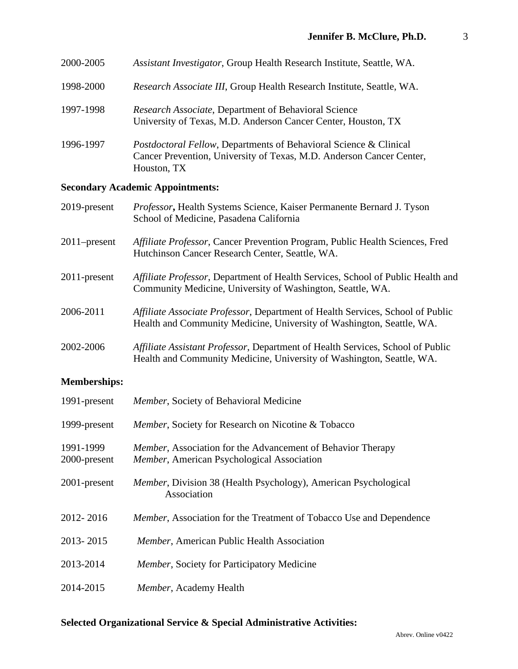| 2000-2005 | Assistant Investigator, Group Health Research Institute, Seattle, WA.                                                        |
|-----------|------------------------------------------------------------------------------------------------------------------------------|
| 1998-2000 | Research Associate III, Group Health Research Institute, Seattle, WA.                                                        |
| 1997-1998 | <i>Research Associate, Department of Behavioral Science</i><br>University of Texas, M.D. Anderson Cancer Center, Houston, TX |

1996-1997 *Postdoctoral Fellow*, Departments of Behavioral Science & Clinical Cancer Prevention, University of Texas, M.D. Anderson Cancer Center, Houston, TX

# **Secondary Academic Appointments:**

| 2019-present    | Professor, Health Systems Science, Kaiser Permanente Bernard J. Tyson<br>School of Medicine, Pasadena California                                        |
|-----------------|---------------------------------------------------------------------------------------------------------------------------------------------------------|
| $2011$ -present | <i>Affiliate Professor</i> , Cancer Prevention Program, Public Health Sciences, Fred<br>Hutchinson Cancer Research Center, Seattle, WA.                 |
| 2011-present    | Affiliate Professor, Department of Health Services, School of Public Health and<br>Community Medicine, University of Washington, Seattle, WA.           |
| 2006-2011       | Affiliate Associate Professor, Department of Health Services, School of Public<br>Health and Community Medicine, University of Washington, Seattle, WA. |
| 2002-2006       | Affiliate Assistant Professor, Department of Health Services, School of Public<br>Health and Community Medicine, University of Washington, Seattle, WA. |

# **Memberships:**

| 1991-present              | Member, Society of Behavioral Medicine                                                                                    |
|---------------------------|---------------------------------------------------------------------------------------------------------------------------|
| 1999-present              | <i>Member</i> , Society for Research on Nicotine & Tobacco                                                                |
| 1991-1999<br>2000-present | <i>Member</i> , Association for the Advancement of Behavior Therapy<br><i>Member</i> , American Psychological Association |
| 2001-present              | <i>Member</i> , Division 38 (Health Psychology), American Psychological<br>Association                                    |
| 2012-2016                 | <i>Member</i> , Association for the Treatment of Tobacco Use and Dependence                                               |
| 2013-2015                 | Member, American Public Health Association                                                                                |
| 2013-2014                 | <i>Member</i> , Society for Participatory Medicine                                                                        |
| 2014-2015                 | Member, Academy Health                                                                                                    |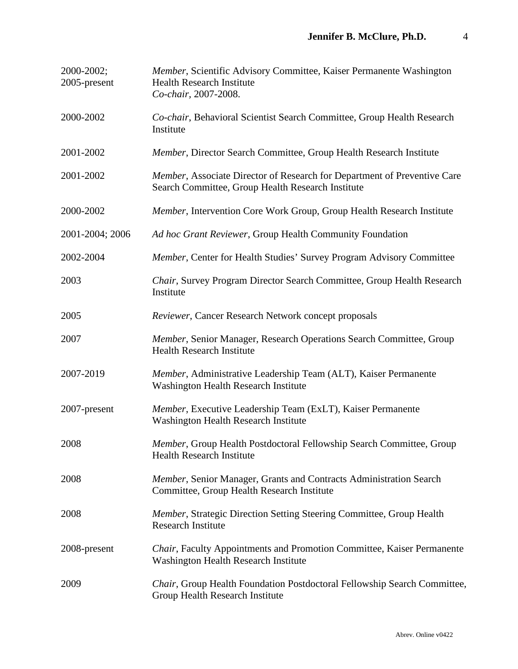| 2000-2002;<br>2005-present | Member, Scientific Advisory Committee, Kaiser Permanente Washington<br><b>Health Research Institute</b><br>Co-chair, 2007-2008. |
|----------------------------|---------------------------------------------------------------------------------------------------------------------------------|
| 2000-2002                  | Co-chair, Behavioral Scientist Search Committee, Group Health Research<br>Institute                                             |
| 2001-2002                  | Member, Director Search Committee, Group Health Research Institute                                                              |
| 2001-2002                  | Member, Associate Director of Research for Department of Preventive Care<br>Search Committee, Group Health Research Institute   |
| 2000-2002                  | Member, Intervention Core Work Group, Group Health Research Institute                                                           |
| 2001-2004; 2006            | Ad hoc Grant Reviewer, Group Health Community Foundation                                                                        |
| 2002-2004                  | Member, Center for Health Studies' Survey Program Advisory Committee                                                            |
| 2003                       | Chair, Survey Program Director Search Committee, Group Health Research<br>Institute                                             |
| 2005                       | Reviewer, Cancer Research Network concept proposals                                                                             |
| 2007                       | Member, Senior Manager, Research Operations Search Committee, Group<br><b>Health Research Institute</b>                         |
| 2007-2019                  | Member, Administrative Leadership Team (ALT), Kaiser Permanente<br><b>Washington Health Research Institute</b>                  |
| 2007-present               | Member, Executive Leadership Team (ExLT), Kaiser Permanente<br><b>Washington Health Research Institute</b>                      |
| 2008                       | Member, Group Health Postdoctoral Fellowship Search Committee, Group<br><b>Health Research Institute</b>                        |
| 2008                       | Member, Senior Manager, Grants and Contracts Administration Search<br>Committee, Group Health Research Institute                |
| 2008                       | Member, Strategic Direction Setting Steering Committee, Group Health<br><b>Research Institute</b>                               |
| 2008-present               | Chair, Faculty Appointments and Promotion Committee, Kaiser Permanente<br><b>Washington Health Research Institute</b>           |
| 2009                       | Chair, Group Health Foundation Postdoctoral Fellowship Search Committee,<br>Group Health Research Institute                     |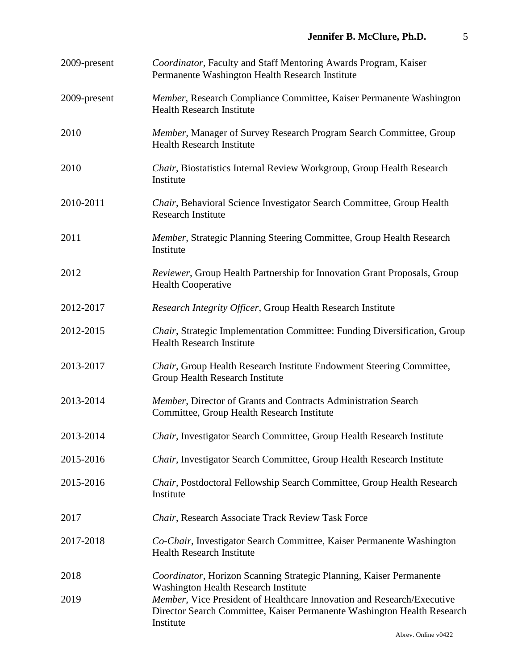| 2009-present | Coordinator, Faculty and Staff Mentoring Awards Program, Kaiser<br>Permanente Washington Health Research Institute                                                                                            |
|--------------|---------------------------------------------------------------------------------------------------------------------------------------------------------------------------------------------------------------|
| 2009-present | Member, Research Compliance Committee, Kaiser Permanente Washington<br><b>Health Research Institute</b>                                                                                                       |
| 2010         | Member, Manager of Survey Research Program Search Committee, Group<br><b>Health Research Institute</b>                                                                                                        |
| 2010         | <i>Chair</i> , Biostatistics Internal Review Workgroup, Group Health Research<br>Institute                                                                                                                    |
| 2010-2011    | Chair, Behavioral Science Investigator Search Committee, Group Health<br><b>Research Institute</b>                                                                                                            |
| 2011         | Member, Strategic Planning Steering Committee, Group Health Research<br>Institute                                                                                                                             |
| 2012         | Reviewer, Group Health Partnership for Innovation Grant Proposals, Group<br><b>Health Cooperative</b>                                                                                                         |
| 2012-2017    | Research Integrity Officer, Group Health Research Institute                                                                                                                                                   |
| 2012-2015    | Chair, Strategic Implementation Committee: Funding Diversification, Group<br><b>Health Research Institute</b>                                                                                                 |
| 2013-2017    | Chair, Group Health Research Institute Endowment Steering Committee,<br>Group Health Research Institute                                                                                                       |
| 2013-2014    | Member, Director of Grants and Contracts Administration Search<br>Committee, Group Health Research Institute                                                                                                  |
| 2013-2014    | Chair, Investigator Search Committee, Group Health Research Institute                                                                                                                                         |
| 2015-2016    | Chair, Investigator Search Committee, Group Health Research Institute                                                                                                                                         |
| 2015-2016    | Chair, Postdoctoral Fellowship Search Committee, Group Health Research<br>Institute                                                                                                                           |
| 2017         | Chair, Research Associate Track Review Task Force                                                                                                                                                             |
| 2017-2018    | Co-Chair, Investigator Search Committee, Kaiser Permanente Washington<br><b>Health Research Institute</b>                                                                                                     |
| 2018         | Coordinator, Horizon Scanning Strategic Planning, Kaiser Permanente                                                                                                                                           |
| 2019         | <b>Washington Health Research Institute</b><br>Member, Vice President of Healthcare Innovation and Research/Executive<br>Director Search Committee, Kaiser Permanente Washington Health Research<br>Institute |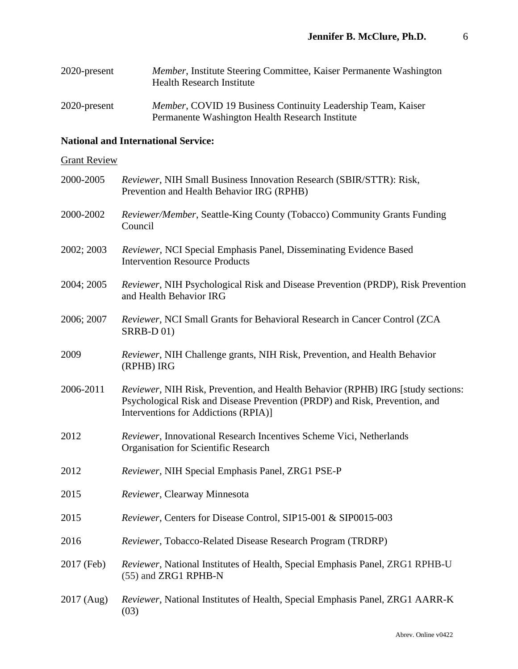| 2020-present | <i>Member</i> , Institute Steering Committee, Kaiser Permanente Washington<br><b>Health Research Institute</b>          |
|--------------|-------------------------------------------------------------------------------------------------------------------------|
| 2020-present | <i>Member</i> , COVID 19 Business Continuity Leadership Team, Kaiser<br>Permanente Washington Health Research Institute |

# **National and International Service:**

# **Grant Review**

| 2000-2005  | Reviewer, NIH Small Business Innovation Research (SBIR/STTR): Risk,<br>Prevention and Health Behavior IRG (RPHB)                                                                                      |
|------------|-------------------------------------------------------------------------------------------------------------------------------------------------------------------------------------------------------|
| 2000-2002  | Reviewer/Member, Seattle-King County (Tobacco) Community Grants Funding<br>Council                                                                                                                    |
| 2002; 2003 | Reviewer, NCI Special Emphasis Panel, Disseminating Evidence Based<br><b>Intervention Resource Products</b>                                                                                           |
| 2004; 2005 | Reviewer, NIH Psychological Risk and Disease Prevention (PRDP), Risk Prevention<br>and Health Behavior IRG                                                                                            |
| 2006; 2007 | <i>Reviewer</i> , NCI Small Grants for Behavioral Research in Cancer Control (ZCA)<br><b>SRRB-D01)</b>                                                                                                |
| 2009       | Reviewer, NIH Challenge grants, NIH Risk, Prevention, and Health Behavior<br>(RPHB) IRG                                                                                                               |
| 2006-2011  | Reviewer, NIH Risk, Prevention, and Health Behavior (RPHB) IRG [study sections:<br>Psychological Risk and Disease Prevention (PRDP) and Risk, Prevention, and<br>Interventions for Addictions (RPIA)] |
| 2012       | Reviewer, Innovational Research Incentives Scheme Vici, Netherlands<br><b>Organisation for Scientific Research</b>                                                                                    |
| 2012       | Reviewer, NIH Special Emphasis Panel, ZRG1 PSE-P                                                                                                                                                      |
| 2015       | Reviewer, Clearway Minnesota                                                                                                                                                                          |
| 2015       | Reviewer, Centers for Disease Control, SIP15-001 & SIP0015-003                                                                                                                                        |
| 2016       | Reviewer, Tobacco-Related Disease Research Program (TRDRP)                                                                                                                                            |
| 2017 (Feb) | Reviewer, National Institutes of Health, Special Emphasis Panel, ZRG1 RPHB-U<br>(55) and ZRG1 RPHB-N                                                                                                  |
| 2017 (Aug) | Reviewer, National Institutes of Health, Special Emphasis Panel, ZRG1 AARR-K<br>(03)                                                                                                                  |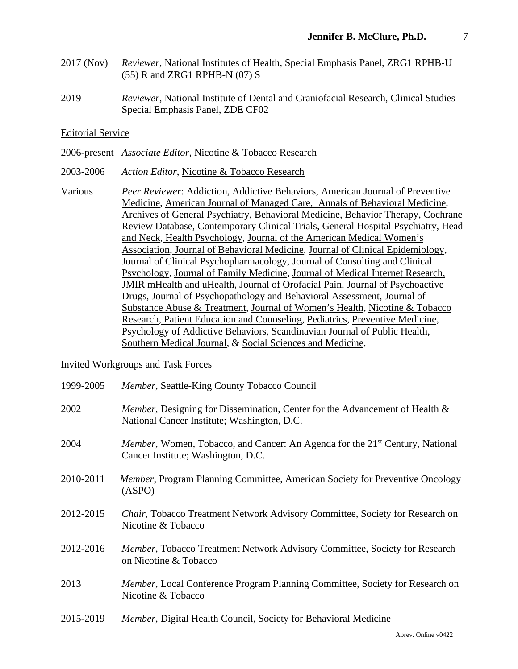- 2017 (Nov) *Reviewer*, National Institutes of Health, Special Emphasis Panel, ZRG1 RPHB-U (55) R and ZRG1 RPHB-N (07) S
- 2019 *Reviewer*, National Institute of Dental and Craniofacial Research, Clinical Studies Special Emphasis Panel, ZDE CF02

#### Editorial Service

- 2006-present *Associate Editor*, Nicotine & Tobacco Research
- 2003-2006 *Action Editor*, Nicotine & Tobacco Research
- Various *Peer Reviewer*: Addiction, Addictive Behaviors, American Journal of Preventive Medicine, American Journal of Managed Care, Annals of Behavioral Medicine, Archives of General Psychiatry, Behavioral Medicine, Behavior Therapy, Cochrane Review Database, Contemporary Clinical Trials, General Hospital Psychiatry, Head and Neck, Health Psychology, Journal of the American Medical Women's Association, Journal of Behavioral Medicine, Journal of Clinical Epidemiology, Journal of Clinical Psychopharmacology, Journal of Consulting and Clinical Psychology, Journal of Family Medicine, Journal of Medical Internet Research, JMIR mHealth and uHealth, Journal of Orofacial Pain, Journal of Psychoactive Drugs, Journal of Psychopathology and Behavioral Assessment, Journal of Substance Abuse & Treatment, Journal of Women's Health, Nicotine & Tobacco Research, Patient Education and Counseling, Pediatrics, Preventive Medicine, Psychology of Addictive Behaviors, Scandinavian Journal of Public Health, Southern Medical Journal, & Social Sciences and Medicine.

### Invited Workgroups and Task Forces

| 1999-2005 | Member, Seattle-King County Tobacco Council                                                                                            |
|-----------|----------------------------------------------------------------------------------------------------------------------------------------|
| 2002      | <i>Member</i> , Designing for Dissemination, Center for the Advancement of Health &<br>National Cancer Institute; Washington, D.C.     |
| 2004      | <i>Member</i> , Women, Tobacco, and Cancer: An Agenda for the 21 <sup>st</sup> Century, National<br>Cancer Institute; Washington, D.C. |
| 2010-2011 | <i>Member</i> , Program Planning Committee, American Society for Preventive Oncology<br>(ASPO)                                         |
| 2012-2015 | Chair, Tobacco Treatment Network Advisory Committee, Society for Research on<br>Nicotine & Tobacco                                     |
| 2012-2016 | Member, Tobacco Treatment Network Advisory Committee, Society for Research<br>on Nicotine & Tobacco                                    |
| 2013      | <i>Member</i> , Local Conference Program Planning Committee, Society for Research on<br>Nicotine & Tobacco                             |
| 2015-2019 | <i>Member</i> , Digital Health Council, Society for Behavioral Medicine                                                                |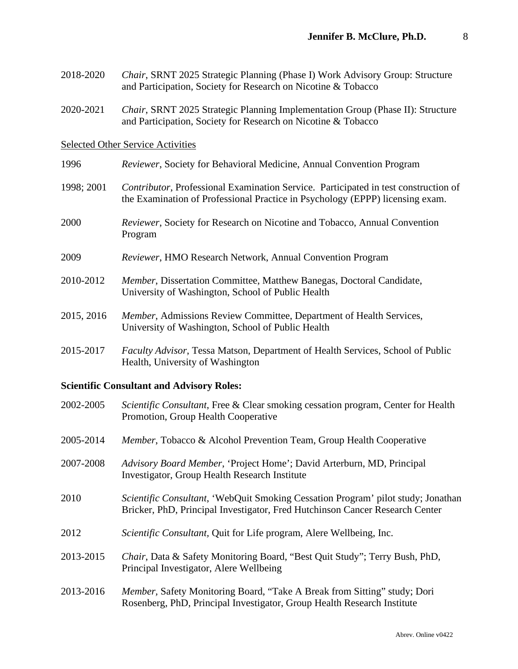- 2018-2020 *Chair*, SRNT 2025 Strategic Planning (Phase I) Work Advisory Group: Structure and Participation, Society for Research on Nicotine & Tobacco
- 2020-2021 *Chair*, SRNT 2025 Strategic Planning Implementation Group (Phase II): Structure and Participation, Society for Research on Nicotine & Tobacco

#### Selected Other Service Activities

- 1996 *Reviewer*, Society for Behavioral Medicine, Annual Convention Program
- 1998; 2001 *Contributor*, Professional Examination Service. Participated in test construction of the Examination of Professional Practice in Psychology (EPPP) licensing exam.
- 2000 *Reviewer*, Society for Research on Nicotine and Tobacco, Annual Convention Program
- 2009 *Reviewer*, HMO Research Network, Annual Convention Program
- 2010-2012 *Member*, Dissertation Committee, Matthew Banegas, Doctoral Candidate, University of Washington, School of Public Health
- 2015, 2016 *Member*, Admissions Review Committee, Department of Health Services, University of Washington, School of Public Health
- 2015-2017 *Faculty Advisor*, Tessa Matson, Department of Health Services, School of Public Health, University of Washington

### **Scientific Consultant and Advisory Roles:**

| 2002-2005 | Scientific Consultant, Free & Clear smoking cessation program, Center for Health<br>Promotion, Group Health Cooperative                                                  |
|-----------|--------------------------------------------------------------------------------------------------------------------------------------------------------------------------|
| 2005-2014 | Member, Tobacco & Alcohol Prevention Team, Group Health Cooperative                                                                                                      |
| 2007-2008 | Advisory Board Member, 'Project Home'; David Arterburn, MD, Principal<br><b>Investigator, Group Health Research Institute</b>                                            |
| 2010      | <i>Scientific Consultant</i> , 'WebQuit Smoking Cessation Program' pilot study; Jonathan<br>Bricker, PhD, Principal Investigator, Fred Hutchinson Cancer Research Center |
| 2012      | Scientific Consultant, Quit for Life program, Alere Wellbeing, Inc.                                                                                                      |
| 2013-2015 | Chair, Data & Safety Monitoring Board, "Best Quit Study"; Terry Bush, PhD,<br>Principal Investigator, Alere Wellbeing                                                    |
| 2013-2016 | Member, Safety Monitoring Board, "Take A Break from Sitting" study; Dori<br>Rosenberg, PhD, Principal Investigator, Group Health Research Institute                      |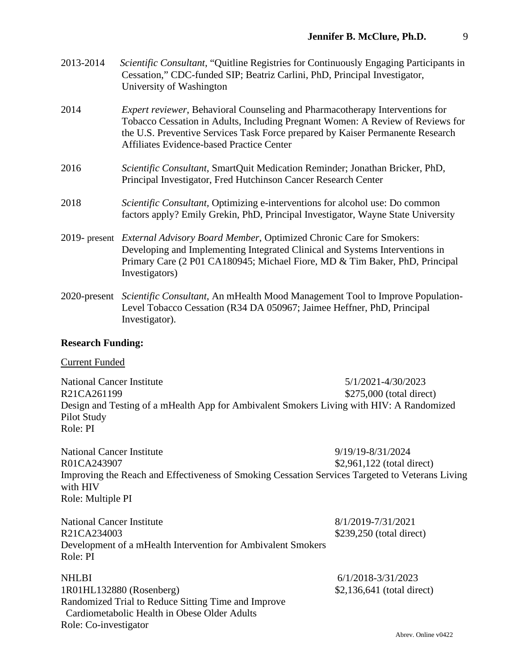| 2013-2014 | <i>Scientific Consultant,</i> "Quitline Registries for Continuously Engaging Participants in<br>Cessation," CDC-funded SIP; Beatriz Carlini, PhD, Principal Investigator, |
|-----------|---------------------------------------------------------------------------------------------------------------------------------------------------------------------------|
|           | University of Washington                                                                                                                                                  |

- 2014 *Expert reviewer*, Behavioral Counseling and Pharmacotherapy Interventions for Tobacco Cessation in Adults, Including Pregnant Women: A Review of Reviews for the U.S. Preventive Services Task Force prepared by Kaiser Permanente Research Affiliates Evidence-based Practice Center
- 2016 *Scientific Consultant*, SmartQuit Medication Reminder; Jonathan Bricker, PhD, Principal Investigator, Fred Hutchinson Cancer Research Center
- 2018 *Scientific Consultant,* Optimizing e-interventions for alcohol use: Do common factors apply? Emily Grekin, PhD, Principal Investigator, Wayne State University
- 2019- present *External Advisory Board Member*, Optimized Chronic Care for Smokers: Developing and Implementing Integrated Clinical and Systems Interventions in Primary Care (2 P01 CA180945; Michael Fiore, MD & Tim Baker, PhD, Principal Investigators)
- 2020-present *Scientific Consultant*, An mHealth Mood Management Tool to Improve Population-Level Tobacco Cessation (R34 DA 050967; Jaimee Heffner, PhD, Principal Investigator).

### **Research Funding:**

### Current Funded

National Cancer Institute 5/1/2021-4/30/2023 R21CA261199 \$275,000 (total direct) Design and Testing of a mHealth App for Ambivalent Smokers Living with HIV: A Randomized Pilot Study Role: PI

National Cancer Institute 9/19/19-8/31/2024 R01CA243907 \$2,961,122 (total direct) Improving the Reach and Effectiveness of Smoking Cessation Services Targeted to Veterans Living with HIV Role: Multiple PI

| <b>National Cancer Institute</b>                                           | 8/1/2019-7/31/2021       |
|----------------------------------------------------------------------------|--------------------------|
| R21CA234003                                                                | \$239,250 (total direct) |
| Development of a mHealth Intervention for Ambivalent Smokers<br>- Role: PI |                          |

NHLBI 6/1/2018-3/31/2023 1R01HL132880 (Rosenberg) \$2,136,641 (total direct) Randomized Trial to Reduce Sitting Time and Improve Cardiometabolic Health in Obese Older Adults Role: Co-investigator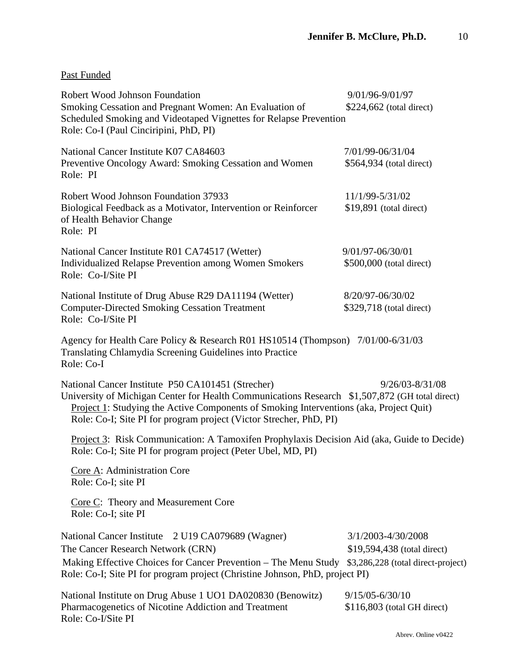| Past Funded |
|-------------|
|-------------|

| Robert Wood Johnson Foundation<br>Smoking Cessation and Pregnant Women: An Evaluation of<br>Scheduled Smoking and Videotaped Vignettes for Relapse Prevention<br>Role: Co-I (Paul Cinciripini, PhD, PI)                                                                                                             | 9/01/96-9/01/97<br>\$224,662 (total direct)                                             |  |
|---------------------------------------------------------------------------------------------------------------------------------------------------------------------------------------------------------------------------------------------------------------------------------------------------------------------|-----------------------------------------------------------------------------------------|--|
| National Cancer Institute K07 CA84603<br>Preventive Oncology Award: Smoking Cessation and Women<br>Role: PI                                                                                                                                                                                                         | 7/01/99-06/31/04<br>\$564,934 (total direct)                                            |  |
| Robert Wood Johnson Foundation 37933<br>Biological Feedback as a Motivator, Intervention or Reinforcer<br>of Health Behavior Change<br>Role: PI                                                                                                                                                                     | 11/1/99-5/31/02<br>$$19,891$ (total direct)                                             |  |
| National Cancer Institute R01 CA74517 (Wetter)<br><b>Individualized Relapse Prevention among Women Smokers</b><br>Role: Co-I/Site PI                                                                                                                                                                                | 9/01/97-06/30/01<br>\$500,000 (total direct)                                            |  |
| National Institute of Drug Abuse R29 DA11194 (Wetter)<br><b>Computer-Directed Smoking Cessation Treatment</b><br>Role: Co-I/Site PI                                                                                                                                                                                 | 8/20/97-06/30/02<br>\$329,718 (total direct)                                            |  |
| Agency for Health Care Policy & Research R01 HS10514 (Thompson) 7/01/00-6/31/03<br>Translating Chlamydia Screening Guidelines into Practice<br>Role: Co-I                                                                                                                                                           |                                                                                         |  |
| National Cancer Institute P50 CA101451 (Strecher)<br>University of Michigan Center for Health Communications Research \$1,507,872 (GH total direct)<br>Project 1: Studying the Active Components of Smoking Interventions (aka, Project Quit)<br>Role: Co-I; Site PI for program project (Victor Strecher, PhD, PI) | $9/26/03 - 8/31/08$                                                                     |  |
| Project 3: Risk Communication: A Tamoxifen Prophylaxis Decision Aid (aka, Guide to Decide)<br>Role: Co-I; Site PI for program project (Peter Ubel, MD, PI)                                                                                                                                                          |                                                                                         |  |
| Core A: Administration Core<br>Role: Co-I; site PI                                                                                                                                                                                                                                                                  |                                                                                         |  |
| Core C: Theory and Measurement Core<br>Role: Co-I; site PI                                                                                                                                                                                                                                                          |                                                                                         |  |
| National Cancer Institute<br>2 U19 CA079689 (Wagner)<br>The Cancer Research Network (CRN)<br>Making Effective Choices for Cancer Prevention - The Menu Study<br>Role: Co-I; Site PI for program project (Christine Johnson, PhD, project PI)                                                                        | 3/1/2003-4/30/2008<br>\$19,594,438 (total direct)<br>\$3,286,228 (total direct-project) |  |
| National Institute on Drug Abuse 1 UO1 DA020830 (Benowitz)<br>Pharmacogenetics of Nicotine Addiction and Treatment<br>Role: Co-I/Site PI                                                                                                                                                                            | $9/15/05 - 6/30/10$<br>$$116,803$ (total GH direct)                                     |  |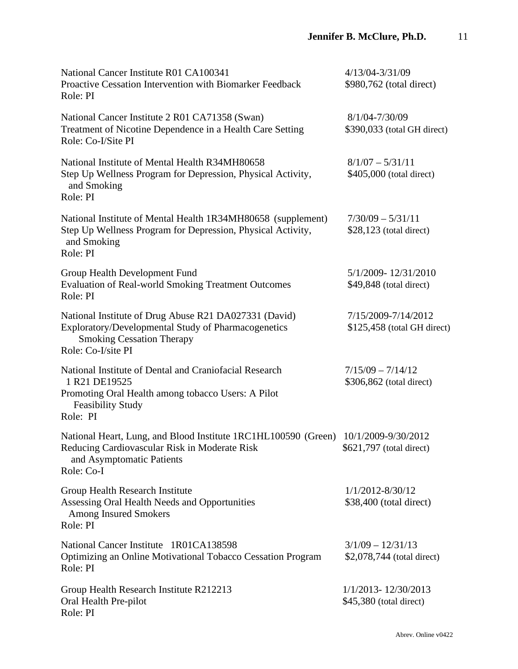| National Cancer Institute R01 CA100341<br>Proactive Cessation Intervention with Biomarker Feedback<br>Role: PI                                                                 | 4/13/04-3/31/09<br>\$980,762 (total direct)         |
|--------------------------------------------------------------------------------------------------------------------------------------------------------------------------------|-----------------------------------------------------|
| National Cancer Institute 2 R01 CA71358 (Swan)<br>Treatment of Nicotine Dependence in a Health Care Setting<br>Role: Co-I/Site PI                                              | 8/1/04-7/30/09<br>\$390,033 (total GH direct)       |
| National Institute of Mental Health R34MH80658<br>Step Up Wellness Program for Depression, Physical Activity,<br>and Smoking<br>Role: PI                                       | $8/1/07 - 5/31/11$<br>\$405,000 (total direct)      |
| National Institute of Mental Health 1R34MH80658 (supplement)<br>Step Up Wellness Program for Depression, Physical Activity,<br>and Smoking<br>Role: PI                         | $7/30/09 - 5/31/11$<br>$$28,123$ (total direct)     |
| Group Health Development Fund<br><b>Evaluation of Real-world Smoking Treatment Outcomes</b><br>Role: PI                                                                        | 5/1/2009-12/31/2010<br>$$49,848$ (total direct)     |
| National Institute of Drug Abuse R21 DA027331 (David)<br>Exploratory/Developmental Study of Pharmacogenetics<br><b>Smoking Cessation Therapy</b><br>Role: Co-I/site PI         | 7/15/2009-7/14/2012<br>$$125,458$ (total GH direct) |
| National Institute of Dental and Craniofacial Research<br>1 R21 DE19525<br>Promoting Oral Health among tobacco Users: A Pilot<br><b>Feasibility Study</b><br>Role: PI          | $7/15/09 - 7/14/12$<br>\$306,862 (total direct)     |
| National Heart, Lung, and Blood Institute 1RC1HL100590 (Green) 10/1/2009-9/30/2012<br>Reducing Cardiovascular Risk in Moderate Risk<br>and Asymptomatic Patients<br>Role: Co-I | \$621,797 (total direct)                            |
| Group Health Research Institute<br>Assessing Oral Health Needs and Opportunities<br><b>Among Insured Smokers</b><br>Role: PI                                                   | 1/1/2012-8/30/12<br>\$38,400 (total direct)         |
| National Cancer Institute 1R01CA138598<br><b>Optimizing an Online Motivational Tobacco Cessation Program</b><br>Role: PI                                                       | $3/1/09 - 12/31/13$<br>\$2,078,744 (total direct)   |
| Group Health Research Institute R212213<br>Oral Health Pre-pilot<br>Role: PI                                                                                                   | 1/1/2013-12/30/2013<br>\$45,380 (total direct)      |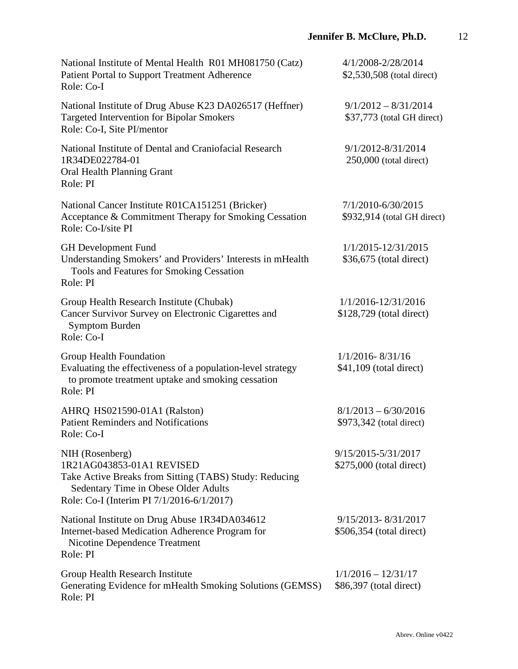| National Institute of Mental Health R01 MH081750 (Catz)<br><b>Patient Portal to Support Treatment Adherence</b><br>Role: Co-I                                                               | 4/1/2008-2/28/2014<br>\$2,530,508 (total direct)     |
|---------------------------------------------------------------------------------------------------------------------------------------------------------------------------------------------|------------------------------------------------------|
| National Institute of Drug Abuse K23 DA026517 (Heffner)<br><b>Targeted Intervention for Bipolar Smokers</b><br>Role: Co-I, Site PI/mentor                                                   | $9/1/2012 - 8/31/2014$<br>\$37,773 (total GH direct) |
| National Institute of Dental and Craniofacial Research<br>1R34DE022784-01<br>Oral Health Planning Grant<br>Role: PI                                                                         | 9/1/2012-8/31/2014<br>$250,000$ (total direct)       |
| National Cancer Institute R01CA151251 (Bricker)<br>Acceptance & Commitment Therapy for Smoking Cessation<br>Role: Co-I/site PI                                                              | 7/1/2010-6/30/2015<br>\$932,914 (total GH direct)    |
| <b>GH</b> Development Fund<br>Understanding Smokers' and Providers' Interests in mHealth<br>Tools and Features for Smoking Cessation<br>Role: PI                                            | 1/1/2015-12/31/2015<br>\$36,675 (total direct)       |
| Group Health Research Institute (Chubak)<br>Cancer Survivor Survey on Electronic Cigarettes and<br><b>Symptom Burden</b><br>Role: Co-I                                                      | 1/1/2016-12/31/2016<br>$$128,729$ (total direct)     |
| Group Health Foundation<br>Evaluating the effectiveness of a population-level strategy<br>to promote treatment uptake and smoking cessation<br>Role: PI                                     | $1/1/2016 - 8/31/16$<br>$$41,109$ (total direct)     |
| AHRQ HS021590-01A1 (Ralston)<br><b>Patient Reminders and Notifications</b><br>Role: Co-I                                                                                                    | $8/1/2013 - 6/30/2016$<br>\$973,342 (total direct)   |
| NIH (Rosenberg)<br>1R21AG043853-01A1 REVISED<br>Take Active Breaks from Sitting (TABS) Study: Reducing<br>Sedentary Time in Obese Older Adults<br>Role: Co-I (Interim PI 7/1/2016-6/1/2017) | 9/15/2015-5/31/2017<br>\$275,000 (total direct)      |
| National Institute on Drug Abuse 1R34DA034612<br>Internet-based Medication Adherence Program for<br>Nicotine Dependence Treatment<br>Role: PI                                               | 9/15/2013-8/31/2017<br>\$506,354 (total direct)      |
| Group Health Research Institute<br>Generating Evidence for mHealth Smoking Solutions (GEMSS)<br>Role: PI                                                                                    | $1/1/2016 - 12/31/17$<br>\$86,397 (total direct)     |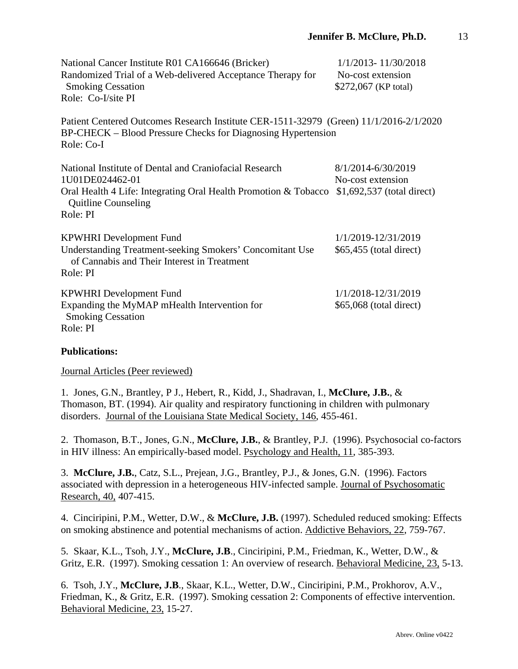| National Cancer Institute R01 CA166646 (Bricker)<br>Randomized Trial of a Web-delivered Acceptance Therapy for<br><b>Smoking Cessation</b><br>Role: Co-I/site PI                       | 1/1/2013-11/30/2018<br>No-cost extension<br>\$272,067 (KP total)       |
|----------------------------------------------------------------------------------------------------------------------------------------------------------------------------------------|------------------------------------------------------------------------|
| Patient Centered Outcomes Research Institute CER-1511-32979 (Green) 11/1/2016-2/1/2020<br>BP-CHECK – Blood Pressure Checks for Diagnosing Hypertension<br>Role: Co-I                   |                                                                        |
| National Institute of Dental and Craniofacial Research<br>1U01DE024462-01<br>Oral Health 4 Life: Integrating Oral Health Promotion & Tobacco<br><b>Quitline Counseling</b><br>Role: PI | 8/1/2014-6/30/2019<br>No-cost extension<br>$$1,692,537$ (total direct) |
| <b>KPWHRI</b> Development Fund<br>Understanding Treatment-seeking Smokers' Concomitant Use<br>of Cannabis and Their Interest in Treatment<br>Role: PI                                  | 1/1/2019-12/31/2019<br>\$65,455 (total direct)                         |
| <b>KPWHRI</b> Development Fund<br>Expanding the MyMAP mHealth Intervention for<br><b>Smoking Cessation</b><br>Role: PI                                                                 | 1/1/2018-12/31/2019<br>\$65,068 (total direct)                         |

#### **Publications:**

Journal Articles (Peer reviewed)

1. Jones, G.N., Brantley, P J., Hebert, R., Kidd, J., Shadravan, I., **McClure, J.B.**, & Thomason, BT. (1994). Air quality and respiratory functioning in children with pulmonary disorders. Journal of the Louisiana State Medical Society, 146, 455-461.

2. Thomason, B.T., Jones, G.N., **McClure, J.B.**, & Brantley, P.J. (1996). Psychosocial co-factors in HIV illness: An empirically-based model. Psychology and Health, 11, 385-393.

3. **McClure, J.B.**, Catz, S.L., Prejean, J.G., Brantley, P.J., & Jones, G.N. (1996). Factors associated with depression in a heterogeneous HIV-infected sample. Journal of Psychosomatic Research, 40, 407-415.

4. Cinciripini, P.M., Wetter, D.W., & **McClure, J.B.** (1997). Scheduled reduced smoking: Effects on smoking abstinence and potential mechanisms of action. Addictive Behaviors, 22, 759-767.

5. Skaar, K.L., Tsoh, J.Y., **McClure, J.B**., Cinciripini, P.M., Friedman, K., Wetter, D.W., & Gritz, E.R. (1997). Smoking cessation 1: An overview of research. Behavioral Medicine, 23, 5-13.

6. Tsoh, J.Y., **McClure, J.B**., Skaar, K.L., Wetter, D.W., Cinciripini, P.M., Prokhorov, A.V., Friedman, K., & Gritz, E.R. (1997). Smoking cessation 2: Components of effective intervention. Behavioral Medicine, 23, 15-27.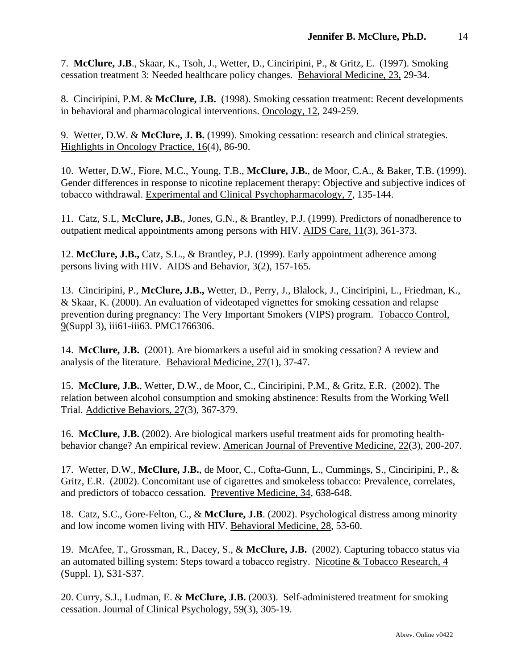7. **McClure, J.B**., Skaar, K., Tsoh, J., Wetter, D., Cinciripini, P., & Gritz, E. (1997). Smoking cessation treatment 3: Needed healthcare policy changes. Behavioral Medicine, 23, 29-34.

8. Cinciripini, P.M. & **McClure, J.B.** (1998). Smoking cessation treatment: Recent developments in behavioral and pharmacological interventions. Oncology, 12, 249-259.

9. Wetter, D.W. & **McClure, J. B.** (1999). Smoking cessation: research and clinical strategies. Highlights in Oncology Practice, 16(4), 86-90.

10. Wetter, D.W., Fiore, M.C., Young, T.B., **McClure, J.B.**, de Moor, C.A., & Baker, T.B. (1999). Gender differences in response to nicotine replacement therapy: Objective and subjective indices of tobacco withdrawal. Experimental and Clinical Psychopharmacology, 7, 135-144.

11. Catz, S.L, **McClure, J.B.**, Jones, G.N., & Brantley, P.J. (1999). Predictors of nonadherence to outpatient medical appointments among persons with HIV. AIDS Care, 11(3), 361-373.

12. **McClure, J.B.,** Catz, S.L., & Brantley, P.J. (1999). Early appointment adherence among persons living with HIV. AIDS and Behavior, 3(2), 157-165.

13. Cinciripini, P., **McClure, J.B.,** Wetter, D., Perry, J., Blalock, J., Cinciripini, L., Friedman, K., & Skaar, K. (2000). An evaluation of videotaped vignettes for smoking cessation and relapse prevention during pregnancy: The Very Important Smokers (VIPS) program. Tobacco Control, 9(Suppl 3), iii61-iii63. PMC1766306.

14. **McClure, J.B.** (2001). Are biomarkers a useful aid in smoking cessation? A review and analysis of the literature. Behavioral Medicine, 27(1), 37-47.

15. **McClure, J.B.**, Wetter, D.W., de Moor, C., Cinciripini, P.M., & Gritz, E.R. (2002). The relation between alcohol consumption and smoking abstinence: Results from the Working Well Trial. Addictive Behaviors, 27(3), 367-379.

16. **McClure, J.B.** (2002). Are biological markers useful treatment aids for promoting healthbehavior change? An empirical review. American Journal of Preventive Medicine, 22(3), 200-207.

17. Wetter, D.W., **McClure, J.B.**, de Moor, C., Cofta-Gunn, L., Cummings, S., Cinciripini, P., & Gritz, E.R. (2002). Concomitant use of cigarettes and smokeless tobacco: Prevalence, correlates, and predictors of tobacco cessation. Preventive Medicine, 34, 638-648.

18. Catz, S.C., Gore-Felton, C., & **McClure, J.B**. (2002). Psychological distress among minority and low income women living with HIV. Behavioral Medicine, 28, 53-60.

19. McAfee, T., Grossman, R., Dacey, S., & **McClure, J.B.** (2002). Capturing tobacco status via an automated billing system: Steps toward a tobacco registry. Nicotine & Tobacco Research, 4 (Suppl. 1), S31-S37.

20. Curry, S.J., Ludman, E. & **McClure, J.B.** (2003). Self-administered treatment for smoking cessation. Journal of Clinical Psychology, 59(3), 305-19.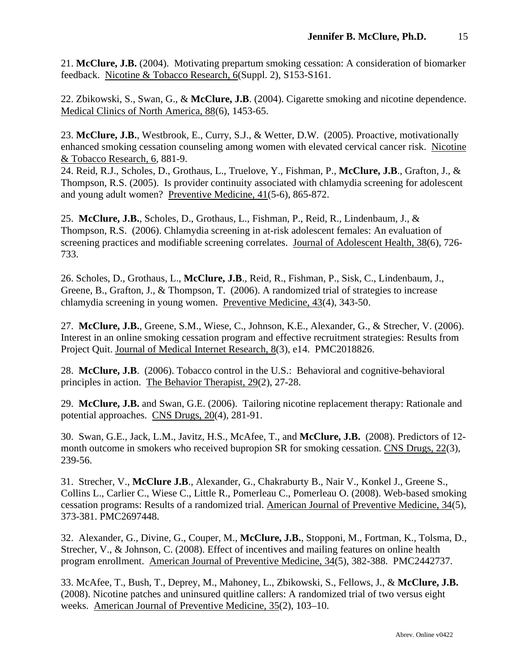21. **McClure, J.B.** (2004). Motivating prepartum smoking cessation: A consideration of biomarker feedback. Nicotine & Tobacco Research, 6(Suppl. 2), S153-S161.

22. Zbikowski, S., Swan, G., & **McClure, J.B**. (2004). Cigarette smoking and nicotine dependence. Medical Clinics of North America, 88(6), 1453-65.

23. **McClure, J.B.**, Westbrook, E., Curry, S.J., & Wetter, D.W. (2005). Proactive, motivationally enhanced smoking cessation counseling among women with elevated cervical cancer risk. Nicotine & Tobacco Research, 6, 881-9.

24. Reid, R.J., Scholes, D., Grothaus, L., Truelove, Y., Fishman, P., **McClure, J.B**., Grafton, J., & Thompson, R.S. (2005). Is provider continuity associated with chlamydia screening for adolescent and young adult women? Preventive Medicine, 41(5-6), 865-872.

25. **McClure, J.B.**, Scholes, D., Grothaus, L., Fishman, P., Reid, R., Lindenbaum, J., & Thompson, R.S. (2006). Chlamydia screening in at-risk adolescent females: An evaluation of screening practices and modifiable screening correlates. Journal of Adolescent Health, 38(6), 726-733.

26. Scholes, D., Grothaus, L., **McClure, J.B**., Reid, R., Fishman, P., Sisk, C., Lindenbaum, J., Greene, B., Grafton, J., & Thompson, T. (2006). A randomized trial of strategies to increase chlamydia screening in young women. Preventive Medicine, 43(4), 343-50.

27. **McClure, J.B.**, Greene, S.M., Wiese, C., Johnson, K.E., Alexander, G., & Strecher, V. (2006). Interest in an online smoking cessation program and effective recruitment strategies: Results from Project Quit. Journal of Medical Internet Research, 8(3), e14. PMC2018826.

28. **McClure, J.B**. (2006). Tobacco control in the U.S.: Behavioral and cognitive-behavioral principles in action. The Behavior Therapist, 29(2), 27-28.

29. **McClure, J.B.** and Swan, G.E. (2006). Tailoring nicotine replacement therapy: Rationale and potential approaches. CNS Drugs, 20(4), 281-91.

30. Swan, G.E., Jack, L.M., Javitz, H.S., McAfee, T., and **McClure, J.B.** (2008). Predictors of 12 month outcome in smokers who received bupropion SR for smoking cessation. CNS Drugs, 22(3), 239-56.

31. Strecher, V., **McClure J.B**., Alexander, G., Chakraburty B., Nair V., Konkel J., Greene S., Collins L., Carlier C., Wiese C., Little R., Pomerleau C., Pomerleau O. (2008). Web-based smoking cessation programs: Results of a randomized trial. American Journal of Preventive Medicine, 34(5), 373-381. PMC2697448.

32. Alexander, G., Divine, G., Couper, M., **McClure, J.B.**, Stopponi, M., Fortman, K., Tolsma, D., Strecher, V., & Johnson, C. (2008). Effect of incentives and mailing features on online health program enrollment. American Journal of Preventive Medicine, 34(5), 382-388. PMC2442737.

33. McAfee, T., Bush, T., Deprey, M., Mahoney, L., Zbikowski, S., Fellows, J., & **McClure, J.B.** (2008). Nicotine patches and uninsured quitline callers: A randomized trial of two versus eight weeks. American Journal of Preventive Medicine, 35(2), 103–10.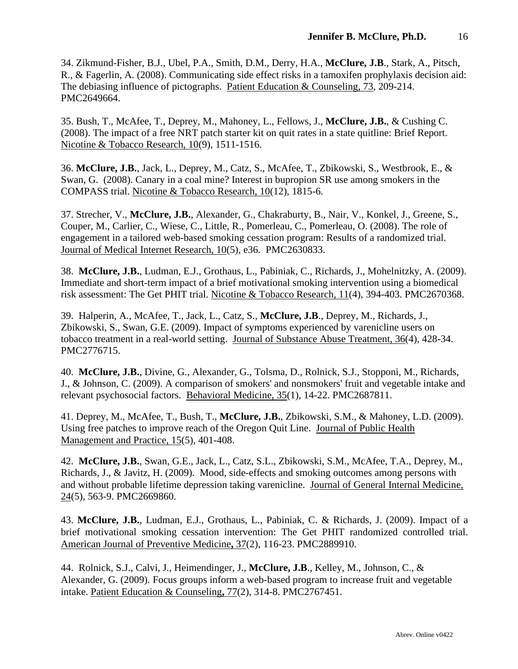34. Zikmund-Fisher, B.J., Ubel, P.A., Smith, D.M., Derry, H.A., **McClure, J.B**., Stark, A., Pitsch, R., & Fagerlin, A. (2008). Communicating side effect risks in a tamoxifen prophylaxis decision aid: The debiasing influence of pictographs. Patient Education & Counseling, 73, 209-214. PMC2649664.

35. Bush, T., McAfee, T., Deprey, M., Mahoney, L., Fellows, J., **McClure, J.B.**, & Cushing C. (2008). The impact of a free NRT patch starter kit on quit rates in a state quitline: Brief Report. Nicotine & Tobacco Research, 10(9), 1511-1516.

36. **McClure, J.B.**, Jack, L., Deprey, M., Catz, S., McAfee, T., Zbikowski, S., Westbrook, E., & Swan, G. (2008). Canary in a coal mine? Interest in bupropion SR use among smokers in the COMPASS trial. Nicotine & Tobacco Research, 10(12), 1815-6.

37. Strecher, V., **McClure, J.B.**, Alexander, G., Chakraburty, B., Nair, V., Konkel, J., Greene, S., Couper, M., Carlier, C., Wiese, C., Little, R., Pomerleau, C., Pomerleau, O. (2008). The role of engagement in a tailored web-based smoking cessation program: Results of a randomized trial. Journal of Medical Internet Research, 10(5), e36. PMC2630833.

38. **McClure, J.B.**, Ludman, E.J., Grothaus, L., Pabiniak, C., Richards, J., Mohelnitzky, A. (2009). Immediate and short-term impact of a brief motivational smoking intervention using a biomedical risk assessment: The Get PHIT trial. Nicotine & Tobacco Research, 11(4), 394-403. PMC2670368.

39. Halperin, A., McAfee, T., Jack, L., Catz, S., **McClure, J.B**., Deprey, M., Richards, J., Zbikowski, S., Swan, G.E. (2009). Impact of symptoms experienced by varenicline users on tobacco treatment in a real-world setting. Journal of Substance Abuse Treatment, 36(4), 428-34. PMC2776715.

40. **McClure, J.B.**, Divine, G., Alexander, G., Tolsma, D., Rolnick, S.J., Stopponi, M., Richards, J., & Johnson, C. (2009). A comparison of smokers' and nonsmokers' fruit and vegetable intake and relevant psychosocial factors. Behavioral Medicine, 35(1), 14-22. PMC2687811.

41. Deprey, M., McAfee, T., Bush, T., **McClure, J.B.**, Zbikowski, S.M., & Mahoney, L.D. (2009). Using free patches to improve reach of the Oregon Quit Line. Journal of Public Health Management and Practice, 15(5), 401-408.

42. **McClure, J.B.**, Swan, G.E., Jack, L., Catz, S.L., Zbikowski, S.M., McAfee, T.A., Deprey, M., Richards, J., & Javitz, H. (2009). Mood, side-effects and smoking outcomes among persons with and without probable lifetime depression taking varenicline. Journal of General Internal Medicine, 24(5), 563-9. PMC2669860.

43. **McClure, J.B.**, Ludman, E.J., Grothaus, L., Pabiniak, C. & Richards, J. (2009). Impact of a brief motivational smoking cessation intervention: The Get PHIT randomized controlled trial. American Journal of Preventive Medicine**,** 37(2), 116-23. PMC2889910.

44. Rolnick, S.J., Calvi, J., Heimendinger, J., **McClure, J.B**., Kelley, M., Johnson, C., & Alexander, G. (2009). Focus groups inform a web-based program to increase fruit and vegetable intake. Patient Education & Counseling**,** 77(2), 314-8. PMC2767451.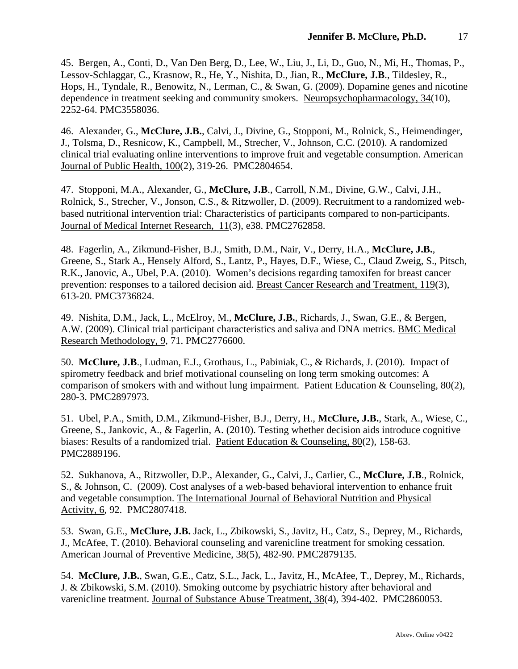45. Bergen, A., Conti, D., Van Den Berg, D., Lee, W., Liu, J., Li, D., Guo, N., Mi, H., Thomas, P., Lessov-Schlaggar, C., Krasnow, R., He, Y., Nishita, D., Jian, R., **McClure, J.B**., Tildesley, R., Hops, H., Tyndale, R., Benowitz, N., Lerman, C., & Swan, G. (2009). Dopamine genes and nicotine dependence in treatment seeking and community smokers. Neuropsychopharmacology, 34(10), 2252-64. PMC3558036.

46. Alexander, G., **McClure, J.B.**, Calvi, J., Divine, G., Stopponi, M., Rolnick, S., Heimendinger, J., Tolsma, D., Resnicow, K., Campbell, M., Strecher, V., Johnson, C.C. (2010). A randomized clinical trial evaluating online interventions to improve fruit and vegetable consumption. American Journal of Public Health, 100(2), 319-26. PMC2804654.

47. Stopponi, M.A., Alexander, G., **McClure, J.B**., Carroll, N.M., Divine, G.W., Calvi, J.H., Rolnick, S., Strecher, V., Jonson, C.S., & Ritzwoller, D. (2009). Recruitment to a randomized webbased nutritional intervention trial: Characteristics of participants compared to non-participants. Journal of Medical Internet Research, 11(3), e38. PMC2762858.

48. Fagerlin, A., Zikmund-Fisher, B.J., Smith, D.M., Nair, V., Derry, H.A., **McClure, J.B.**, Greene, S., Stark A., Hensely Alford, S., Lantz, P., Hayes, D.F., Wiese, C., Claud Zweig, S., Pitsch, R.K., Janovic, A., Ubel, P.A. (2010). Women's decisions regarding tamoxifen for breast cancer prevention: responses to a tailored decision aid. Breast Cancer Research and Treatment, 119(3), 613-20. PMC3736824.

49. Nishita, D.M., Jack, L., McElroy, M., **McClure, J.B.**, Richards, J., Swan, G.E., & Bergen, A.W. (2009). Clinical trial participant characteristics and saliva and DNA metrics. BMC Medical Research Methodology, 9, 71. PMC2776600.

50. **McClure, J.B**., Ludman, E.J., Grothaus, L., Pabiniak, C., & Richards, J. (2010). Impact of spirometry feedback and brief motivational counseling on long term smoking outcomes: A comparison of smokers with and without lung impairment. Patient Education & Counseling, 80(2), 280-3. PMC2897973.

51. Ubel, P.A., Smith, D.M., Zikmund-Fisher, B.J., Derry, H., **McClure, J.B.**, Stark, A., Wiese, C., Greene, S., Jankovic, A., & Fagerlin, A. (2010). Testing whether decision aids introduce cognitive biases: Results of a randomized trial. Patient Education & Counseling, 80(2), 158-63. PMC2889196.

52. Sukhanova, A., Ritzwoller, D.P., Alexander, G., Calvi, J., Carlier, C., **McClure, J.B**., Rolnick, S., & Johnson, C. (2009). Cost analyses of a web-based behavioral intervention to enhance fruit and vegetable consumption. The International Journal of Behavioral Nutrition and Physical Activity, 6, 92. PMC2807418.

53. Swan, G.E., **McClure, J.B.** Jack, L., Zbikowski, S., Javitz, H., Catz, S., Deprey, M., Richards, J., McAfee, T. (2010). Behavioral counseling and varenicline treatment for smoking cessation. American Journal of Preventive Medicine, 38(5), 482-90. PMC2879135.

54. **McClure, J.B.**, Swan, G.E., Catz, S.L., Jack, L., Javitz, H., McAfee, T., Deprey, M., Richards, J. & Zbikowski, S.M. (2010). Smoking outcome by psychiatric history after behavioral and varenicline treatment. Journal of Substance Abuse Treatment, 38(4), 394-402. PMC2860053.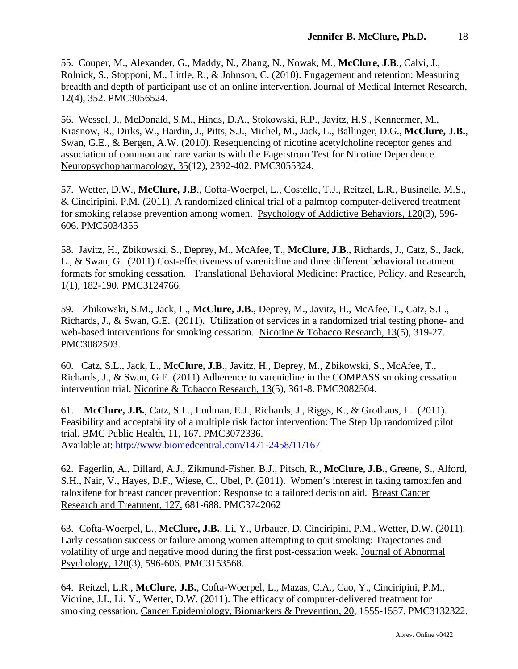55. Couper, M., Alexander, G., Maddy, N., Zhang, N., Nowak, M., **McClure, J.B**., Calvi, J., Rolnick, S., Stopponi, M., Little, R., & Johnson, C. (2010). Engagement and retention: Measuring breadth and depth of participant use of an online intervention. Journal of Medical Internet Research, 12(4), 352. PMC3056524.

56. Wessel, J., McDonald, S.M., Hinds, D.A., Stokowski, R.P., Javitz, H.S., Kennermer, M., Krasnow, R., Dirks, W., Hardin, J., Pitts, S.J., Michel, M., Jack, L., Ballinger, D.G., **McClure, J.B.**, Swan, G.E., & Bergen, A.W. (2010). Resequencing of nicotine acetylcholine receptor genes and association of common and rare variants with the Fagerstrom Test for Nicotine Dependence. Neuropsychopharmacology, 35(12), 2392-402. PMC3055324.

57. Wetter, D.W., **McClure, J.B**., Cofta-Woerpel, L., Costello, T.J., Reitzel, L.R., Businelle, M.S., & Cinciripini, P.M. (2011). A randomized clinical trial of a palmtop computer-delivered treatment for smoking relapse prevention among women. Psychology of Addictive Behaviors, 120(3), 596- 606. PMC5034355

58. Javitz, H., Zbikowski, S., Deprey, M., McAfee, T., **McClure, J.B**., Richards, J., Catz, S., Jack, L., & Swan, G. (2011) Cost-effectiveness of varenicline and three different behavioral treatment formats for smoking cessation. Translational Behavioral Medicine: Practice, Policy, and Research, 1(1), 182-190. PMC3124766.

59. Zbikowski, S.M., Jack, L., **McClure, J.B**., Deprey, M., Javitz, H., McAfee, T., Catz, S.L., Richards, J., & Swan, G.E. (2011). Utilization of services in a randomized trial testing phone- and web-based interventions for smoking cessation. Nicotine & Tobacco Research, 13(5), 319-27. PMC3082503.

60. Catz, S.L., Jack, L., **McClure, J.B**., Javitz, H., Deprey, M., Zbikowski, S., McAfee, T., Richards, J., & Swan, G.E. (2011) Adherence to varenicline in the COMPASS smoking cessation intervention trial. Nicotine & Tobacco Research, 13(5), 361-8. PMC3082504.

61. **McClure, J.B.**, Catz, S.L., Ludman, E.J., Richards, J., Riggs, K., & Grothaus, L. (2011). Feasibility and acceptability of a multiple risk factor intervention: The Step Up randomized pilot trial. BMC Public Health, 11, 167. PMC3072336. Available at:<http://www.biomedcentral.com/1471-2458/11/167>

62. Fagerlin, A., Dillard, A.J., Zikmund-Fisher, B.J., Pitsch, R., **McClure, J.B.**, Greene, S., Alford, S.H., Nair, V., Hayes, D.F., Wiese, C., Ubel, P. (2011). Women's interest in taking tamoxifen and raloxifene for breast cancer prevention: Response to a tailored decision aid. Breast Cancer Research and Treatment, 127, 681-688. PMC3742062

63. Cofta-Woerpel, L., **McClure, J.B.**, Li, Y., Urbauer, D, Cinciripini, P.M., Wetter, D.W. (2011). Early cessation success or failure among women attempting to quit smoking: Trajectories and volatility of urge and negative mood during the first post-cessation week. Journal of Abnormal Psychology, 120(3), 596-606. PMC3153568.

64. Reitzel, L.R., **McClure, J.B.**, Cofta-Woerpel, L., Mazas, C.A., Cao, Y., Cinciripini, P.M., Vidrine, J.I., Li, Y., Wetter, D.W. (2011). The efficacy of computer-delivered treatment for smoking cessation. Cancer Epidemiology, Biomarkers & Prevention, 20, 1555-1557. PMC3132322.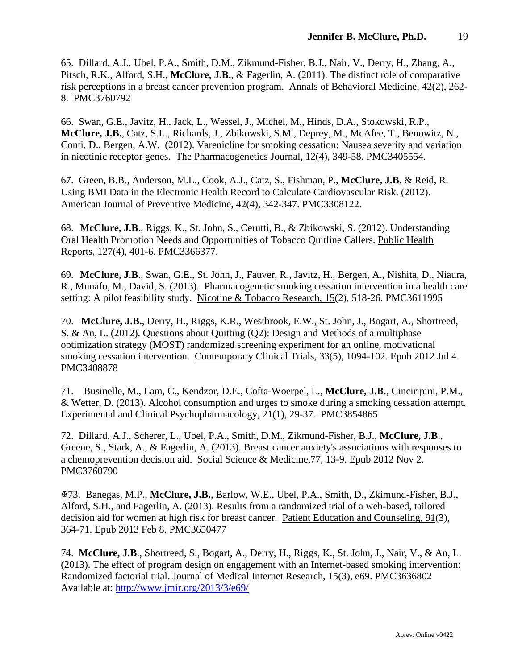65. Dillard, A.J., Ubel, P.A., Smith, D.M., Zikmund-Fisher, B.J., Nair, V., Derry, H., Zhang, A., Pitsch, R.K., Alford, S.H., **McClure, J.B.**, & Fagerlin, A. (2011). The distinct role of comparative risk perceptions in a breast cancer prevention program. Annals of Behavioral Medicine, 42(2), 262- 8. PMC3760792

66. Swan, G.E., Javitz, H., Jack, L., Wessel, J., Michel, M., Hinds, D.A., Stokowski, R.P., **McClure, J.B.**, Catz, S.L., Richards, J., Zbikowski, S.M., Deprey, M., McAfee, T., Benowitz, N., Conti, D., Bergen, A.W. (2012). Varenicline for smoking cessation: Nausea severity and variation in nicotinic receptor genes. The Pharmacogenetics Journal, 12(4), 349-58. PMC3405554.

67. Green, B.B., Anderson, M.L., Cook, A.J., Catz, S., Fishman, P., **McClure, J.B.** & Reid, R. Using BMI Data in the Electronic Health Record to Calculate Cardiovascular Risk. (2012). American Journal of Preventive Medicine, 42(4), 342-347. PMC3308122.

68. **McClure, J.B**., Riggs, K., St. John, S., Cerutti, B., & Zbikowski, S. (2012). Understanding Oral Health Promotion Needs and Opportunities of Tobacco Quitline Callers. Public Health Reports, 127(4), 401-6. PMC3366377.

69. **McClure, J**.**B**., Swan, G.E., St. John, J., Fauver, R., Javitz, H., Bergen, A., Nishita, D., Niaura, R., Munafo, M., David, S. (2013). Pharmacogenetic smoking cessation intervention in a health care setting: A pilot feasibility study. Nicotine & Tobacco Research, 15(2), 518-26. PMC3611995

70. **McClure, J.B.**, Derry, H., Riggs, K.R., Westbrook, E.W., St. John, J., Bogart, A., Shortreed, S. & An, L. (2012). Questions about Quitting (Q2): Design and Methods of a multiphase optimization strategy (MOST) randomized screening experiment for an online, motivational smoking cessation intervention. Contemporary Clinical Trials, 33(5), 1094-102. Epub 2012 Jul 4. PMC3408878

71. Businelle, M., Lam, C., Kendzor, D.E., Cofta-Woerpel, L., **McClure, J.B**., Cinciripini, P.M., & Wetter, D. (2013). Alcohol consumption and urges to smoke during a smoking cessation attempt. Experimental and Clinical Psychopharmacology, 21(1), 29-37. PMC3854865

72. Dillard, A.J., Scherer, L., Ubel, P.A., Smith, D.M., Zikmund-Fisher, B.J., **McClure, J.B**., Greene, S., Stark, A., & Fagerlin, A. (2013). Breast cancer anxiety's associations with responses to a chemoprevention decision aid. Social Science & Medicine,77, 13-9. Epub 2012 Nov 2. PMC3760790

73. Banegas, M.P., **McClure, J.B.**, Barlow, W.E., Ubel, P.A., Smith, D., Zkimund-Fisher, B.J., Alford, S.H., and Fagerlin, A. (2013). Results from a randomized trial of a web-based, tailored decision aid for women at high risk for breast cancer. Patient Education and Counseling, 91(3), 364-71. Epub 2013 Feb 8. PMC3650477

74. **McClure, J.B**., Shortreed, S., Bogart, A., Derry, H., Riggs, K., St. John, J., Nair, V., & An, L. (2013). The effect of program design on engagement with an Internet-based smoking intervention: Randomized factorial trial. Journal of Medical Internet Research, 15(3), e69. PMC3636802 Available at: <http://www.jmir.org/2013/3/e69/>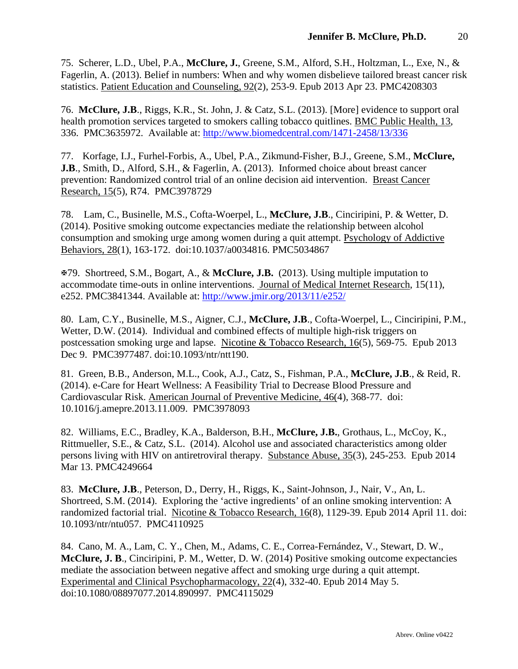75. Scherer, L.D., Ubel, P.A., **McClure, J.**, Greene, S.M., Alford, S.H., Holtzman, L., Exe, N., & Fagerlin, A. (2013). Belief in numbers: When and why women disbelieve tailored breast cancer risk statistics. Patient Education and Counseling, 92(2), 253-9. Epub 2013 Apr 23. PMC4208303

76. **McClure, J.B**., Riggs, K.R., St. John, J. & Catz, S.L. (2013). [More] evidence to support oral health promotion services targeted to smokers calling tobacco quitlines. BMC Public Health, 13, 336. PMC3635972. Available at:<http://www.biomedcentral.com/1471-2458/13/336>

77. Korfage, I.J., Furhel-Forbis, A., Ubel, P.A., Zikmund-Fisher, B.J., Greene, S.M., **McClure, J.B.**, Smith, D., Alford, S.H., & Fagerlin, A. (2013). Informed choice about breast cancer prevention: Randomized control trial of an online decision aid intervention. Breast Cancer Research, 15(5), R74. PMC3978729

78. Lam, C., Businelle, M.S., Cofta-Woerpel, L., **McClure, J.B**., Cinciripini, P. & Wetter, D. (2014). Positive smoking outcome expectancies mediate the relationship between alcohol consumption and smoking urge among women during a quit attempt. Psychology of Addictive Behaviors, 28(1), 163-172. doi:10.1037/a0034816. PMC5034867

79. Shortreed, S.M., Bogart, A., & **McClure, J.B.** (2013). Using multiple imputation to accommodate time-outs in online interventions. Journal of Medical Internet Research, 15(11), e252. PMC3841344. Available at:<http://www.jmir.org/2013/11/e252/>

80. Lam, C.Y., Businelle, M.S., Aigner, C.J., **McClure, J.B**., Cofta-Woerpel, L., Cinciripini, P.M., Wetter, D.W. (2014). Individual and combined effects of multiple high-risk triggers on postcessation smoking urge and lapse. Nicotine & Tobacco Research, 16(5), 569-75. Epub 2013 Dec 9. PMC3977487. doi:10.1093/ntr/ntt190.

81. Green, B.B., Anderson, M.L., Cook, A.J., Catz, S., Fishman, P.A., **McClure, J.B**., & Reid, R. (2014). e-Care for Heart Wellness: A Feasibility Trial to Decrease Blood Pressure and Cardiovascular Risk. American Journal of Preventive Medicine, 46(4), 368-77. doi: 10.1016/j.amepre.2013.11.009. PMC3978093

82. Williams, E.C., Bradley, K.A., Balderson, B.H., **McClure, J.B.**, Grothaus, L., McCoy, K., Rittmueller, S.E., & Catz, S.L. (2014). Alcohol use and associated characteristics among older persons living with HIV on antiretroviral therapy. Substance Abuse, 35(3), 245-253. Epub 2014 Mar 13. PMC4249664

83. **McClure, J.B**., Peterson, D., Derry, H., Riggs, K., Saint-Johnson, J., Nair, V., An, L. Shortreed, S.M. (2014). Exploring the 'active ingredients' of an online smoking intervention: A randomized factorial trial. Nicotine & Tobacco Research, 16(8), 1129-39. Epub 2014 April 11. doi: 10.1093/ntr/ntu057. PMC4110925

84. Cano, M. A., Lam, C. Y., Chen, M., Adams, C. E., Correa-Fernández, V., Stewart, D. W., **McClure, J. B**., Cinciripini, P. M., Wetter, D. W. (2014) Positive smoking outcome expectancies mediate the association between negative affect and smoking urge during a quit attempt. Experimental and Clinical Psychopharmacology, 22(4), 332-40. Epub 2014 May 5. doi:10.1080/08897077.2014.890997. PMC4115029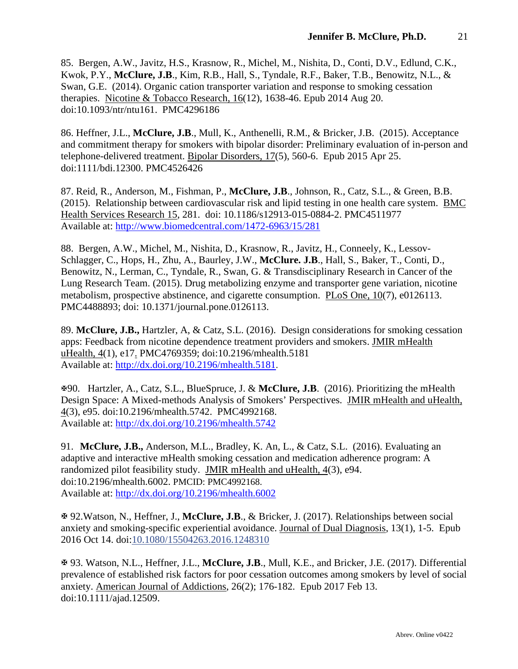85. Bergen, A.W., Javitz, H.S., Krasnow, R., Michel, M., Nishita, D., Conti, D.V., Edlund, C.K., Kwok, P.Y., **McClure, J.B**., Kim, R.B., Hall, S., Tyndale, R.F., Baker, T.B., Benowitz, N.L., & Swan, G.E. (2014). Organic cation transporter variation and response to smoking cessation therapies. Nicotine & Tobacco Research, 16(12), 1638-46. Epub 2014 Aug 20. doi:10.1093/ntr/ntu161. PMC4296186

86. Heffner, J.L., **McClure, J.B**., Mull, K., Anthenelli, R.M., & Bricker, J.B. (2015). Acceptance and commitment therapy for smokers with bipolar disorder: Preliminary evaluation of in-person and telephone-delivered treatment. Bipolar Disorders, 17(5), 560-6. Epub 2015 Apr 25. doi:1111/bdi.12300. PMC4526426

87. Reid, R., Anderson, M., Fishman, P., **McClure, J.B**., Johnson, R., Catz, S.L., & Green, B.B. (2015). Relationship between cardiovascular risk and lipid testing in one health care system. BMC Health Services Research 15, 281. doi: 10.1186/s12913-015-0884-2. PMC4511977 Available at:<http://www.biomedcentral.com/1472-6963/15/281>

88. Bergen, A.W., Michel, M., Nishita, D., Krasnow, R., Javitz, H., Conneely, K., Lessov-Schlagger, C., Hops, H., Zhu, A., Baurley, J.W., **McClure. J.B**., Hall, S., Baker, T., Conti, D., Benowitz, N., Lerman, C., Tyndale, R., Swan, G. & Transdisciplinary Research in Cancer of the Lung Research Team. (2015). Drug metabolizing enzyme and transporter gene variation, nicotine metabolism, prospective abstinence, and cigarette consumption. PLoS One, 10(7), e0126113. PMC4488893; doi: 10.1371/journal.pone.0126113.

89. **McClure, J.B.,** Hartzler, A, & Catz, S.L. (2016). Design considerations for smoking cessation apps: Feedback from nicotine dependence treatment providers and smokers. JMIR mHealth uHealth, 4(1), e17. PMC4769359; doi:10.2196/mhealth.5181 Available at:<http://dx.doi.org/10.2196/mhealth.5181>.

90. Hartzler, A., Catz, S.L., BlueSpruce, J. & **McClure, J.B**. (2016). Prioritizing the mHealth Design Space: A Mixed-methods Analysis of Smokers' Perspectives. JMIR mHealth and uHealth, 4(3), e95. doi:10.2196/mhealth.5742. PMC4992168. Available at:<http://dx.doi.org/10.2196/mhealth.5742>

91. **McClure, J.B.,** Anderson, M.L., Bradley, K. An, L., & Catz, S.L. (2016). Evaluating an adaptive and interactive mHealth smoking cessation and medication adherence program: A randomized pilot feasibility study. JMIR mHealth and uHealth, 4(3), e94. doi:10.2196/mhealth.6002. PMCID: PMC4992168. Available at:<http://dx.doi.org/10.2196/mhealth.6002>

 92.Watson, N., Heffner, J., **McClure, J.B**., & Bricker, J. (2017). Relationships between social anxiety and smoking-specific experiential avoidance. Journal of Dual Diagnosis, 13(1), 1-5. Epub 2016 Oct 14. doi[:10.1080/15504263.2016.1248310](https://dx.doi.org/10.1080/15504263.2016.1248310)

 93. Watson, N.L., Heffner, J.L., **McClure, J.B**., Mull, K.E., and Bricker, J.E. (2017). Differential prevalence of established risk factors for poor cessation outcomes among smokers by level of social anxiety. American Journal of Addictions, 26(2); 176-182. Epub 2017 Feb 13. doi:10.1111/ajad.12509.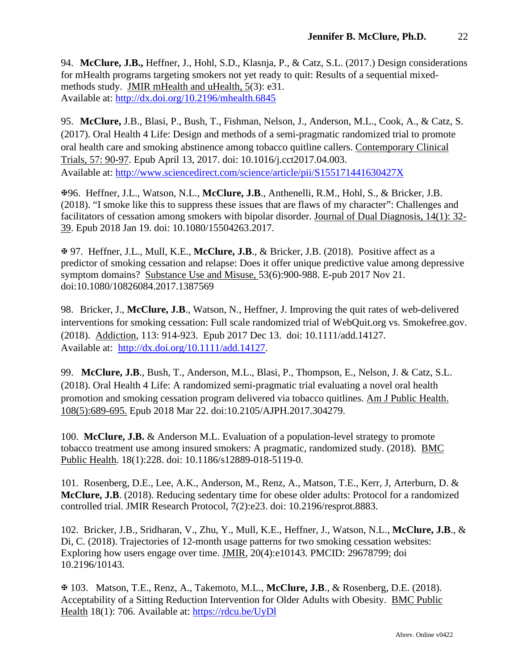94. **McClure, J.B.,** Heffner, J., Hohl, S.D., Klasnja, P., & Catz, S.L. (2017.) Design considerations for mHealth programs targeting smokers not yet ready to quit: Results of a sequential mixedmethods study. JMIR mHealth and uHealth, 5(3): e31. Available at:<http://dx.doi.org/10.2196/mhealth.6845>

95. **McClure,** J.B., Blasi, P., Bush, T., Fishman, Nelson, J., Anderson, M.L., Cook, A., & Catz, S. (2017). Oral Health 4 Life: Design and methods of a semi-pragmatic randomized trial to promote oral health care and smoking abstinence among tobacco quitline callers. Contemporary Clinical Trials, 57: 90-97. Epub April 13, 2017. doi: 10.1016/j.cct2017.04.003. Available at:<http://www.sciencedirect.com/science/article/pii/S155171441630427X>

96. Heffner, J.L., Watson, N.L., **McClure, J.B**., Anthenelli, R.M., Hohl, S., & Bricker, J.B. (2018). "I smoke like this to suppress these issues that are flaws of my character": Challenges and facilitators of cessation among smokers with bipolar disorder. Journal of Dual Diagnosis, 14(1): 32- 39. Epub 2018 Jan 19. doi: 10.1080/15504263.2017.

 97. Heffner, J.L., Mull, K.E., **McClure, J.B**., & Bricker, J.B. (2018). Positive affect as a predictor of smoking cessation and relapse: Does it offer unique predictive value among depressive symptom domains? Substance Use and Misuse, 53(6):900-988. E-pub 2017 Nov 21. doi:10.1080/10826084.2017.1387569

98. Bricker, J., **McClure, J.B**., Watson, N., Heffner, J. Improving the quit rates of web-delivered interventions for smoking cessation: Full scale randomized trial of WebQuit.org vs. Smokefree.gov. (2018). Addiction, 113: 914-923. Epub 2017 Dec 13. doi: 10.1111/add.14127. Available at: [http://dx.doi.org/10.1111/add.14127.](http://dx.doi.org/10.1111/add.14127)

99. **McClure, J.B**., Bush, T., Anderson, M.L., Blasi, P., Thompson, E., Nelson, J. & Catz, S.L. (2018). Oral Health 4 Life: A randomized semi-pragmatic trial evaluating a novel oral health promotion and smoking cessation program delivered via tobacco quitlines. Am J Public Health. 108(5):689-695. Epub 2018 Mar 22. doi:10.2105/AJPH.2017.304279.

100. **McClure, J.B.** & Anderson M.L. Evaluation of a population-level strategy to promote tobacco treatment use among insured smokers: A pragmatic, randomized study. (2018). BMC Public Health. 18(1):228. doi: 10.1186/s12889-018-5119-0.

101. Rosenberg, D.E., Lee, A.K., Anderson, M., Renz, A., Matson, T.E., Kerr, J, Arterburn, D. & **McClure, J.B**. (2018). Reducing sedentary time for obese older adults: Protocol for a randomized controlled trial. JMIR Research Protocol, 7(2):e23. doi: 10.2196/resprot.8883.

102. Bricker, J.B., Sridharan, V., Zhu, Y., Mull, K.E., Heffner, J., Watson, N.L., **McClure, J.B**., & Di, C. (2018). Trajectories of 12-month usage patterns for two smoking cessation websites: Exploring how users engage over time. JMIR, 20(4):e10143. PMCID: 29678799; doi 10.2196/10143.

 103. Matson, T.E., Renz, A., Takemoto, M.L., **McClure, J.B**., & Rosenberg, D.E. (2018). Acceptability of a Sitting Reduction Intervention for Older Adults with Obesity. BMC Public Health 18(1): 706. Available at:<https://rdcu.be/UyDl>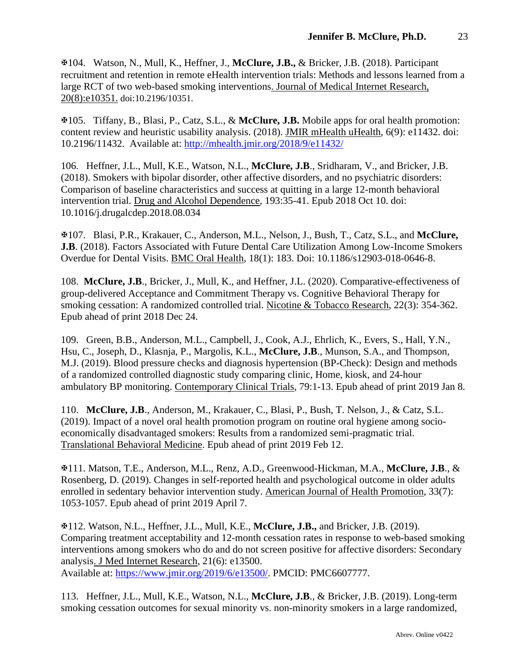104. Watson, N., Mull, K., Heffner, J., **McClure, J.B.,** & Bricker, J.B. (2018). Participant recruitment and retention in remote eHealth intervention trials: Methods and lessons learned from a large RCT of two web-based smoking interventions. Journal of Medical Internet Research, 20(8):e10351. doi:10.2196/10351.

105. Tiffany, B., Blasi, P., Catz, S.L., & **McClure, J.B.** Mobile apps for oral health promotion: content review and heuristic usability analysis. (2018). JMIR mHealth uHealth, 6(9): e11432. doi: 10.2196/11432. Available at: <http://mhealth.jmir.org/2018/9/e11432/>

106. Heffner, J.L., Mull, K.E., Watson, N.L., **McClure, J.B**., Sridharam, V., and Bricker, J.B. (2018). Smokers with bipolar disorder, other affective disorders, and no psychiatric disorders: Comparison of baseline characteristics and success at quitting in a large 12-month behavioral intervention trial. Drug and Alcohol Dependence, 193:35-41. Epub 2018 Oct 10. doi: 10.1016/j.drugalcdep.2018.08.034

107. Blasi, P.R., Krakauer, C., Anderson, M.L., Nelson, J., Bush, T., Catz, S.L., and **McClure, J.B**. (2018). Factors Associated with Future Dental Care Utilization Among Low-Income Smokers Overdue for Dental Visits. BMC Oral Health, 18(1): 183. Doi: 10.1186/s12903-018-0646-8.

108. **McClure, J.B**., Bricker, J., Mull, K., and Heffner, J.L. (2020). Comparative-effectiveness of group-delivered Acceptance and Commitment Therapy vs. Cognitive Behavioral Therapy for smoking cessation: A randomized controlled trial. Nicotine & Tobacco Research, 22(3): 354-362. Epub ahead of print 2018 Dec 24.

109. Green, B.B., Anderson, M.L., Campbell, J., Cook, A.J., Ehrlich, K., Evers, S., Hall, Y.N., Hsu, C., Joseph, D., Klasnja, P., Margolis, K.L., **McClure, J.B**., Munson, S.A., and Thompson, M.J. (2019). Blood pressure checks and diagnosis hypertension (BP-Check): Design and methods of a randomized controlled diagnostic study comparing clinic, Home, kiosk, and 24-hour ambulatory BP monitoring. Contemporary Clinical Trials, 79:1-13. Epub ahead of print 2019 Jan 8.

110. **McClure, J.B**., Anderson, M., Krakauer, C., Blasi, P., Bush, T. Nelson, J., & Catz, S.L. (2019). Impact of a novel oral health promotion program on routine oral hygiene among socioeconomically disadvantaged smokers: Results from a randomized semi-pragmatic trial. Translational Behavioral Medicine. Epub ahead of print 2019 Feb 12.

111. Matson, T.E., Anderson, M.L., Renz, A.D., Greenwood-Hickman, M.A., **McClure, J.B**., & Rosenberg, D. (2019). Changes in self-reported health and psychological outcome in older adults enrolled in sedentary behavior intervention study. American Journal of Health Promotion, 33(7): 1053-1057. Epub ahead of print 2019 April 7.

112. Watson, N.L., Heffner, J.L., Mull, K.E., **McClure, J.B.,** and Bricker, J.B. (2019). Comparing treatment acceptability and 12-month cessation rates in response to web-based smoking interventions among smokers who do and do not screen positive for affective disorders: Secondary analysis. J Med Internet Research, 21(6): e13500. Available at: [https://www.jmir.org/2019/6/e13500/.](https://www.jmir.org/2019/6/e13500/) PMCID: PMC6607777.

113. Heffner, J.L., Mull, K.E., Watson, N.L., **McClure, J.B**., & Bricker, J.B. (2019). Long-term smoking cessation outcomes for sexual minority vs. non-minority smokers in a large randomized,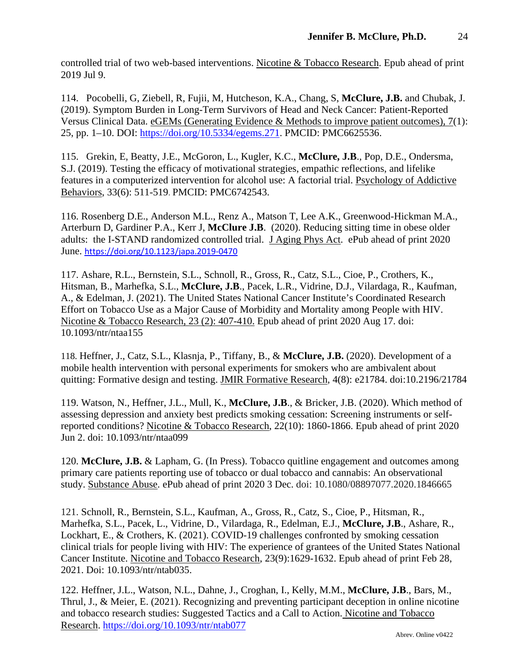controlled trial of two web-based interventions. Nicotine & Tobacco Research. Epub ahead of print 2019 Jul 9.

114. Pocobelli, G, Ziebell, R, Fujii, M, Hutcheson, K.A., Chang, S, **McClure, J.B.** and Chubak, J. (2019). Symptom Burden in Long-Term Survivors of Head and Neck Cancer: Patient-Reported Versus Clinical Data. eGEMs (Generating Evidence & Methods to improve patient outcomes), 7(1): 25, pp. 1–10. DOI: [https://doi.org/10.5334/egems.271.](https://urldefense.proofpoint.com/v2/url?u=https-3A__doi.org_10.5334_egems.271&d=DwMFaQ&c=V-WiB07a9ZG9AUogGPqIYBXfVnjryhYX1W_SjITv1Oo&r=wPiLkdBxyRjV2lg0nZQ4bhzeR4ilwhfN5HmAYtG6_0U&m=PA-5ENOhWnRn_hW3szOpTAq_VnftKItl-WUfuhgfzfM&s=T0mCybNxYVWcnhfEVNfvwVQAWO902RVnKusOU09QkkQ&e=) PMCID: PMC6625536.

115. Grekin, E, Beatty, J.E., McGoron, L., Kugler, K.C., **McClure, J.B**., Pop, D.E., Ondersma, S.J. (2019). Testing the efficacy of motivational strategies, empathic reflections, and lifelike features in a computerized intervention for alcohol use: A factorial trial. Psychology of Addictive Behaviors, 33(6): 511-519. PMCID: PMC6742543.

116. Rosenberg D.E., Anderson M.L., Renz A., Matson T, Lee A.K., Greenwood-Hickman M.A., Arterburn D, Gardiner P.A., Kerr J, **McClure J.B**. (2020). Reducing sitting time in obese older adults: the I-STAND randomized controlled trial. J Aging Phys Act. ePub ahead of print 2020 June. <https://doi.org/10.1123/japa.2019-0470>

117. Ashare, R.L., Bernstein, S.L., Schnoll, R., Gross, R., Catz, S.L., Cioe, P., Crothers, K., Hitsman, B., Marhefka, S.L., **McClure, J.B**., Pacek, L.R., Vidrine, D.J., Vilardaga, R., Kaufman, A., & Edelman, J. (2021). The United States National Cancer Institute's Coordinated Research Effort on Tobacco Use as a Major Cause of Morbidity and Mortality among People with HIV. Nicotine & Tobacco Research, 23 (2): 407-410. Epub ahead of print 2020 Aug 17. doi: 10.1093/ntr/ntaa155

118. Heffner, J., Catz, S.L., Klasnja, P., Tiffany, B., & **McClure, J.B.** (2020). Development of a mobile health intervention with personal experiments for smokers who are ambivalent about quitting: Formative design and testing. JMIR Formative Research, 4(8): e21784. doi:10.2196/21784

119. Watson, N., Heffner, J.L., Mull, K., **McClure, J.B**., & Bricker, J.B. (2020). Which method of assessing depression and anxiety best predicts smoking cessation: Screening instruments or selfreported conditions? Nicotine & Tobacco Research, 22(10): 1860-1866. Epub ahead of print 2020 Jun 2. doi: 10.1093/ntr/ntaa099

120. **McClure, J.B.** & Lapham, G. (In Press). Tobacco quitline engagement and outcomes among primary care patients reporting use of tobacco or dual tobacco and cannabis: An observational study. Substance Abuse. ePub ahead of print 2020 3 Dec. doi: 10.1080/08897077.2020.1846665

121. Schnoll, R., Bernstein, S.L., Kaufman, A., Gross, R., Catz, S., Cioe, P., Hitsman, R., Marhefka, S.L., Pacek, L., Vidrine, D., Vilardaga, R., Edelman, E.J., **McClure, J.B**., Ashare, R., Lockhart, E., & Crothers, K. (2021). COVID-19 challenges confronted by smoking cessation clinical trials for people living with HIV: The experience of grantees of the United States National Cancer Institute. Nicotine and Tobacco Research, 23(9):1629-1632. Epub ahead of print Feb 28, 2021. Doi: 10.1093/ntr/ntab035.

122. Heffner, J.L., Watson, N.L., Dahne, J., Croghan, I., Kelly, M.M., **McClure, J.B**., Bars, M., Thrul, J., & Meier, E. (2021). Recognizing and preventing participant deception in online nicotine and tobacco research studies: Suggested Tactics and a Call to Action. Nicotine and Tobacco Research. <https://doi.org/10.1093/ntr/ntab077>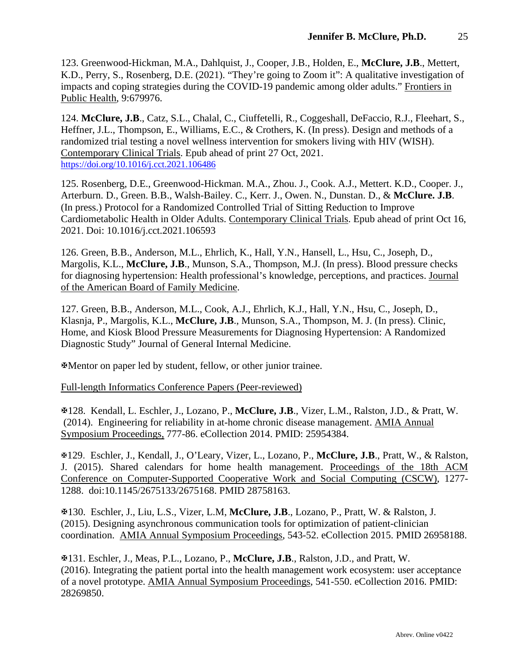123. Greenwood-Hickman, M.A., Dahlquist, J., Cooper, J.B., Holden, E., **McClure, J.B**., Mettert, K.D., Perry, S., Rosenberg, D.E. (2021). "They're going to Zoom it": A qualitative investigation of impacts and coping strategies during the COVID-19 pandemic among older adults." Frontiers in Public Health, 9:679976.

124. **McClure, J.B**., Catz, S.L., Chalal, C., Ciuffetelli, R., Coggeshall, DeFaccio, R.J., Fleehart, S., Heffner, J.L., Thompson, E., Williams, E.C., & Crothers, K. (In press). Design and methods of a randomized trial testing a novel wellness intervention for smokers living with HIV (WISH). Contemporary Clinical Trials. Epub ahead of print 27 Oct, 2021. <https://doi.org/10.1016/j.cct.2021.106486>

125. Rosenberg, D.E., Greenwood-Hickman. M.A., Zhou. J., Cook. A.J., Mettert. K.D., Cooper. J., Arterburn. D., Green. B.B., Walsh-Bailey. C., Kerr. J., Owen. N., Dunstan. D., & **McClure. J.B**. (In press.) Protocol for a Randomized Controlled Trial of Sitting Reduction to Improve Cardiometabolic Health in Older Adults. Contemporary Clinical Trials. Epub ahead of print Oct 16, 2021. Doi: 10.1016/j.cct.2021.106593

126. Green, B.B., Anderson, M.L., Ehrlich, K., Hall, Y.N., Hansell, L., Hsu, C., Joseph, D., Margolis, K.L., **McClure, J.B**., Munson, S.A., Thompson, M.J. (In press). Blood pressure checks for diagnosing hypertension: Health professional's knowledge, perceptions, and practices. Journal of the American Board of Family Medicine.

127. Green, B.B., Anderson, M.L., Cook, A.J., Ehrlich, K.J., Hall, Y.N., Hsu, C., Joseph, D., Klasnja, P., Margolis, K.L., **McClure, J.B**., Munson, S.A., Thompson, M. J. (In press). Clinic, Home, and Kiosk Blood Pressure Measurements for Diagnosing Hypertension: A Randomized Diagnostic Study" Journal of General Internal Medicine.

Mentor on paper led by student, fellow, or other junior trainee.

Full-length Informatics Conference Papers (Peer-reviewed)

128. Kendall, L. Eschler, J., Lozano, P., **McClure, J.B**., Vizer, L.M., Ralston, J.D., & Pratt, W. (2014). Engineering for reliability in at-home chronic disease management. AMIA Annual Symposium Proceedings, 777-86. eCollection 2014. PMID: 25954384.

129. Eschler, J., Kendall, J., O'Leary, Vizer, L., Lozano, P., **McClure, J.B**., Pratt, W., & Ralston, J. (2015). Shared calendars for home health management. Proceedings of the 18th ACM Conference on Computer-Supported Cooperative Work and Social Computing (CSCW), 1277- 1288. doi:10.1145/2675133/2675168. PMID 28758163.

130. Eschler, J., Liu, L.S., Vizer, L.M, **McClure, J.B**., Lozano, P., Pratt, W. & Ralston, J. (2015). Designing asynchronous communication tools for optimization of patient-clinician coordination. AMIA Annual Symposium Proceedings, 543-52. eCollection 2015. PMID 26958188.

131. Eschler, J., Meas, P.L., Lozano, P., **McClure, J.B**., Ralston, J.D., and Pratt, W. (2016). Integrating the patient portal into the health management work ecosystem: user acceptance of a novel prototype. AMIA Annual Symposium Proceedings, 541-550. eCollection 2016. PMID: 28269850.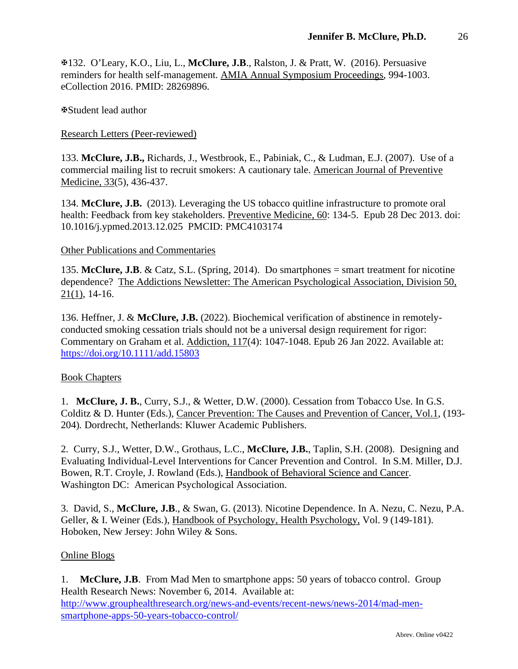132. O'Leary, K.O., Liu, L., **McClure, J.B**., Ralston, J. & Pratt, W. (2016). Persuasive reminders for health self-management. AMIA Annual Symposium Proceedings, 994-1003. eCollection 2016. PMID: 28269896.

Student lead author

Research Letters (Peer-reviewed)

133. **McClure, J.B.,** Richards, J., Westbrook, E., Pabiniak, C., & Ludman, E.J. (2007). Use of a commercial mailing list to recruit smokers: A cautionary tale. American Journal of Preventive Medicine, 33(5), 436-437.

134. **McClure, J.B.** (2013). Leveraging the US tobacco quitline infrastructure to promote oral health: Feedback from key stakeholders. Preventive Medicine, 60: 134-5. Epub 28 Dec 2013. doi: 10.1016/j.ypmed.2013.12.025 PMCID: PMC4103174

### Other Publications and Commentaries

135. **McClure, J.B**. & Catz, S.L. (Spring, 2014). Do smartphones = smart treatment for nicotine dependence? The Addictions Newsletter: The American Psychological Association, Division 50, 21(1), 14-16.

136. Heffner, J. & **McClure, J.B.** (2022). Biochemical verification of abstinence in remotelyconducted smoking cessation trials should not be a universal design requirement for rigor: Commentary on Graham et al. Addiction, 117(4): 1047-1048. Epub 26 Jan 2022. Available at: <https://doi.org/10.1111/add.15803>

### Book Chapters

1. **McClure, J. B.**, Curry, S.J., & Wetter, D.W. (2000). Cessation from Tobacco Use. In G.S. Colditz & D. Hunter (Eds.), Cancer Prevention: The Causes and Prevention of Cancer, Vol.1, (193- 204)*.* Dordrecht, Netherlands: Kluwer Academic Publishers.

2. Curry, S.J., Wetter, D.W., Grothaus, L.C., **McClure, J.B.**, Taplin, S.H. (2008). Designing and Evaluating Individual-Level Interventions for Cancer Prevention and Control. In S.M. Miller, D.J. Bowen, R.T. Croyle, J. Rowland (Eds.), Handbook of Behavioral Science and Cancer. Washington DC: American Psychological Association.

3. David, S., **McClure, J.B**., & Swan, G. (2013). Nicotine Dependence. In A. Nezu, C. Nezu, P.A. Geller, & I. Weiner (Eds.), Handbook of Psychology, Health Psychology, Vol. 9 (149-181). Hoboken, New Jersey: John Wiley & Sons.

### Online Blogs

1. **McClure, J.B**. From Mad Men to smartphone apps: 50 years of tobacco control. Group Health Research News: November 6, 2014. Available at: [http://www.grouphealthresearch.org/news-and-events/recent-news/news-2014/mad-men](http://www.grouphealthresearch.org/news-and-events/recent-news/news-2014/mad-men-smartphone-apps-50-years-tobacco-control/)[smartphone-apps-50-years-tobacco-control/](http://www.grouphealthresearch.org/news-and-events/recent-news/news-2014/mad-men-smartphone-apps-50-years-tobacco-control/)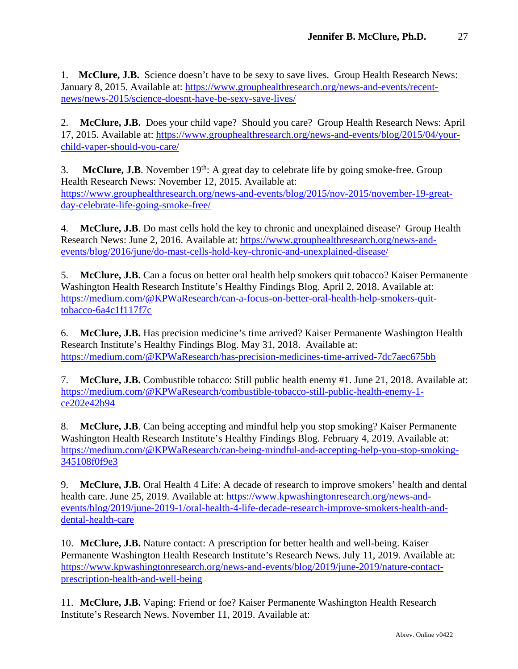1. **McClure, J.B.** Science doesn't have to be sexy to save lives. Group Health Research News: January 8, 2015. Available at: [https://www.grouphealthresearch.org/news-and-events/recent](https://www.grouphealthresearch.org/news-and-events/recent-news/news-2015/science-doesnt-have-be-sexy-save-lives/)[news/news-2015/science-doesnt-have-be-sexy-save-lives/](https://www.grouphealthresearch.org/news-and-events/recent-news/news-2015/science-doesnt-have-be-sexy-save-lives/)

2. **McClure, J.B.** Does your child vape? Should you care? Group Health Research News: April 17, 2015. Available at: [https://www.grouphealthresearch.org/news-and-events/blog/2015/04/your](https://www.grouphealthresearch.org/news-and-events/blog/2015/04/your-child-vaper-should-you-care/)[child-vaper-should-you-care/](https://www.grouphealthresearch.org/news-and-events/blog/2015/04/your-child-vaper-should-you-care/)

3. **McClure, J.B**. November  $19<sup>th</sup>$ : A great day to celebrate life by going smoke-free. Group Health Research News: November 12, 2015. Available at: [https://www.grouphealthresearch.org/news-and-events/blog/2015/nov-2015/november-19-great](https://www.grouphealthresearch.org/news-and-events/blog/2015/nov-2015/november-19-great-day-celebrate-life-going-smoke-free/)[day-celebrate-life-going-smoke-free/](https://www.grouphealthresearch.org/news-and-events/blog/2015/nov-2015/november-19-great-day-celebrate-life-going-smoke-free/)

4. **McClure, J.B**. Do mast cells hold the key to chronic and unexplained disease? Group Health Research News: June 2, 2016. Available at: [https://www.grouphealthresearch.org/news-and](https://www.grouphealthresearch.org/news-and-events/blog/2016/june/do-mast-cells-hold-key-chronic-and-unexplained-disease/)[events/blog/2016/june/do-mast-cells-hold-key-chronic-and-unexplained-disease/](https://www.grouphealthresearch.org/news-and-events/blog/2016/june/do-mast-cells-hold-key-chronic-and-unexplained-disease/)

5. **McClure, J.B.** Can a focus on better oral health help smokers quit tobacco? Kaiser Permanente Washington Health Research Institute's Healthy Findings Blog. April 2, 2018. Available at: [https://medium.com/@KPWaResearch/can-a-focus-on-better-oral-health-help-smokers-quit](https://medium.com/@KPWaResearch/can-a-focus-on-better-oral-health-help-smokers-quit-tobacco-6a4c1f117f7c)[tobacco-6a4c1f117f7c](https://medium.com/@KPWaResearch/can-a-focus-on-better-oral-health-help-smokers-quit-tobacco-6a4c1f117f7c)

6. **McClure, J.B.** Has precision medicine's time arrived? Kaiser Permanente Washington Health Research Institute's Healthy Findings Blog. May 31, 2018. Available at: <https://medium.com/@KPWaResearch/has-precision-medicines-time-arrived-7dc7aec675bb>

7. **McClure, J.B.** Combustible tobacco: Still public health enemy #1. June 21, 2018. Available at: [https://medium.com/@KPWaResearch/combustible-tobacco-still-public-health-enemy-1](https://medium.com/@KPWaResearch/combustible-tobacco-still-public-health-enemy-1-ce202e42b94) [ce202e42b94](https://medium.com/@KPWaResearch/combustible-tobacco-still-public-health-enemy-1-ce202e42b94)

8. **McClure, J.B**. Can being accepting and mindful help you stop smoking? Kaiser Permanente Washington Health Research Institute's Healthy Findings Blog. February 4, 2019. Available at: [https://medium.com/@KPWaResearch/can-being-mindful-and-accepting-help-you-stop-smoking-](https://medium.com/@KPWaResearch/can-being-mindful-and-accepting-help-you-stop-smoking-345108f0f9e3)[345108f0f9e3](https://medium.com/@KPWaResearch/can-being-mindful-and-accepting-help-you-stop-smoking-345108f0f9e3)

9. **McClure, J.B.** Oral Health 4 Life: A decade of research to improve smokers' health and dental health care. June 25, 2019. Available at: [https://www.kpwashingtonresearch.org/news-and](https://www.kpwashingtonresearch.org/news-and-events/blog/2019/june-2019-1/oral-health-4-life-decade-research-improve-smokers-health-and-dental-health-care)[events/blog/2019/june-2019-1/oral-health-4-life-decade-research-improve-smokers-health-and](https://www.kpwashingtonresearch.org/news-and-events/blog/2019/june-2019-1/oral-health-4-life-decade-research-improve-smokers-health-and-dental-health-care)[dental-health-care](https://www.kpwashingtonresearch.org/news-and-events/blog/2019/june-2019-1/oral-health-4-life-decade-research-improve-smokers-health-and-dental-health-care)

10. **McClure, J.B.** Nature contact: A prescription for better health and well-being. Kaiser Permanente Washington Health Research Institute's Research News. July 11, 2019. Available at: [https://www.kpwashingtonresearch.org/news-and-events/blog/2019/june-2019/nature-contact](https://www.kpwashingtonresearch.org/news-and-events/blog/2019/june-2019/nature-contact-prescription-health-and-well-being)[prescription-health-and-well-being](https://www.kpwashingtonresearch.org/news-and-events/blog/2019/june-2019/nature-contact-prescription-health-and-well-being)

11. **McClure, J.B.** Vaping: Friend or foe? Kaiser Permanente Washington Health Research Institute's Research News. November 11, 2019. Available at: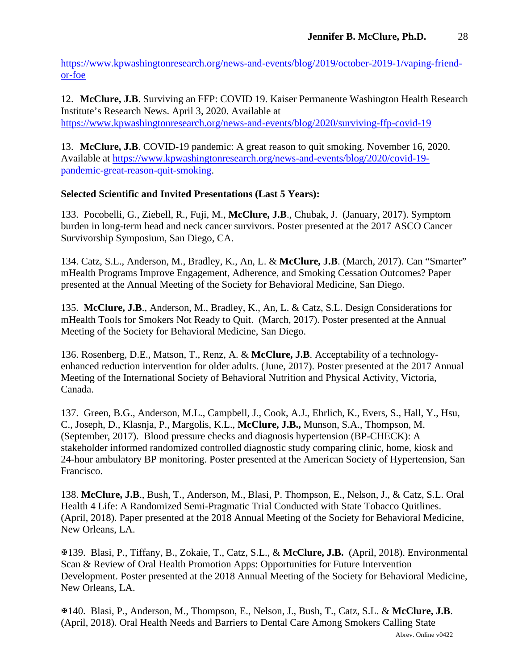[https://www.kpwashingtonresearch.org/news-and-events/blog/2019/october-2019-1/vaping-friend](https://www.kpwashingtonresearch.org/news-and-events/blog/2019/october-2019-1/vaping-friend-or-foe)[or-foe](https://www.kpwashingtonresearch.org/news-and-events/blog/2019/october-2019-1/vaping-friend-or-foe)

12. **McClure, J.B**. Surviving an FFP: COVID 19. Kaiser Permanente Washington Health Research Institute's Research News. April 3, 2020. Available at <https://www.kpwashingtonresearch.org/news-and-events/blog/2020/surviving-ffp-covid-19>

13. **McClure, J.B**. COVID-19 pandemic: A great reason to quit smoking. November 16, 2020. Available at [https://www.kpwashingtonresearch.org/news-and-events/blog/2020/covid-19](https://www.kpwashingtonresearch.org/news-and-events/blog/2020/covid-19-pandemic-great-reason-quit-smoking) [pandemic-great-reason-quit-smoking.](https://www.kpwashingtonresearch.org/news-and-events/blog/2020/covid-19-pandemic-great-reason-quit-smoking)

# **Selected Scientific and Invited Presentations (Last 5 Years):**

133. Pocobelli, G., Ziebell, R., Fuji, M., **McClure, J.B**., Chubak, J. (January, 2017). Symptom burden in long-term head and neck cancer survivors. Poster presented at the 2017 ASCO Cancer Survivorship Symposium, San Diego, CA.

134. Catz, S.L., Anderson, M., Bradley, K., An, L. & **McClure, J.B**. (March, 2017). Can "Smarter" mHealth Programs Improve Engagement, Adherence, and Smoking Cessation Outcomes? Paper presented at the Annual Meeting of the Society for Behavioral Medicine, San Diego.

135. **McClure, J.B**., Anderson, M., Bradley, K., An, L. & Catz, S.L. Design Considerations for mHealth Tools for Smokers Not Ready to Quit. (March, 2017). Poster presented at the Annual Meeting of the Society for Behavioral Medicine, San Diego.

136. Rosenberg, D.E., Matson, T., Renz, A. & **McClure, J.B**. Acceptability of a technologyenhanced reduction intervention for older adults. (June, 2017). Poster presented at the 2017 Annual Meeting of the International Society of Behavioral Nutrition and Physical Activity, Victoria, Canada.

137. Green, B.G., Anderson, M.L., Campbell, J., Cook, A.J., Ehrlich, K., Evers, S., Hall, Y., Hsu, C., Joseph, D., Klasnja, P., Margolis, K.L., **McClure, J.B.,** Munson, S.A., Thompson, M. (September, 2017). Blood pressure checks and diagnosis hypertension (BP-CHECK): A stakeholder informed randomized controlled diagnostic study comparing clinic, home, kiosk and 24-hour ambulatory BP monitoring. Poster presented at the American Society of Hypertension, San Francisco.

138. **McClure, J.B**., Bush, T., Anderson, M., Blasi, P. Thompson, E., Nelson, J., & Catz, S.L. Oral Health 4 Life: A Randomized Semi-Pragmatic Trial Conducted with State Tobacco Quitlines. (April, 2018). Paper presented at the 2018 Annual Meeting of the Society for Behavioral Medicine, New Orleans, LA.

139. Blasi, P., Tiffany, B., Zokaie, T., Catz, S.L., & **McClure, J.B.** (April, 2018). Environmental Scan & Review of Oral Health Promotion Apps: Opportunities for Future Intervention Development. Poster presented at the 2018 Annual Meeting of the Society for Behavioral Medicine, New Orleans, LA.

140. Blasi, P., Anderson, M., Thompson, E., Nelson, J., Bush, T., Catz, S.L. & **McClure, J.B**. (April, 2018). Oral Health Needs and Barriers to Dental Care Among Smokers Calling State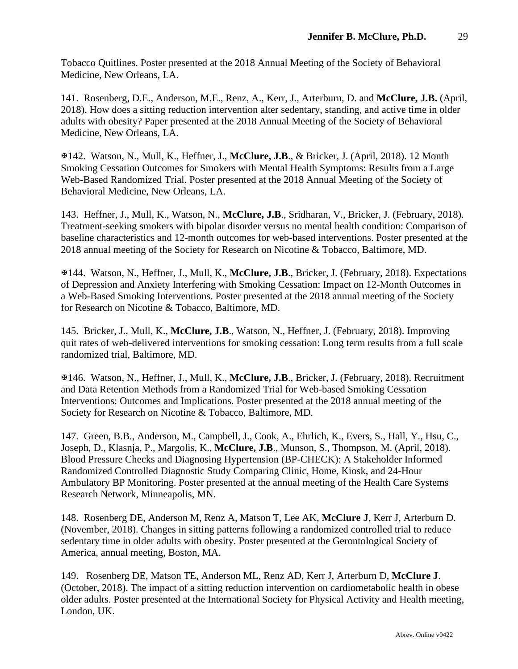Tobacco Quitlines. Poster presented at the 2018 Annual Meeting of the Society of Behavioral Medicine, New Orleans, LA.

141. Rosenberg, D.E., Anderson, M.E., Renz, A., Kerr, J., Arterburn, D. and **McClure, J.B.** (April, 2018). How does a sitting reduction intervention alter sedentary, standing, and active time in older adults with obesity? Paper presented at the 2018 Annual Meeting of the Society of Behavioral Medicine, New Orleans, LA.

142. Watson, N., Mull, K., Heffner, J., **McClure, J.B**., & Bricker, J. (April, 2018). 12 Month Smoking Cessation Outcomes for Smokers with Mental Health Symptoms: Results from a Large Web-Based Randomized Trial. Poster presented at the 2018 Annual Meeting of the Society of Behavioral Medicine, New Orleans, LA.

143. Heffner, J., Mull, K., Watson, N., **McClure, J.B**., Sridharan, V., Bricker, J. (February, 2018). Treatment-seeking smokers with bipolar disorder versus no mental health condition: Comparison of baseline characteristics and 12-month outcomes for web-based interventions. Poster presented at the 2018 annual meeting of the Society for Research on Nicotine & Tobacco, Baltimore, MD.

144. Watson, N., Heffner, J., Mull, K., **McClure, J.B**., Bricker, J. (February, 2018). Expectations of Depression and Anxiety Interfering with Smoking Cessation: Impact on 12-Month Outcomes in a Web-Based Smoking Interventions. Poster presented at the 2018 annual meeting of the Society for Research on Nicotine & Tobacco, Baltimore, MD.

145. Bricker, J., Mull, K., **McClure, J.B**., Watson, N., Heffner, J. (February, 2018). Improving quit rates of web-delivered interventions for smoking cessation: Long term results from a full scale randomized trial, Baltimore, MD.

146. Watson, N., Heffner, J., Mull, K., **McClure, J.B**., Bricker, J. (February, 2018). Recruitment and Data Retention Methods from a Randomized Trial for Web-based Smoking Cessation Interventions: Outcomes and Implications. Poster presented at the 2018 annual meeting of the Society for Research on Nicotine & Tobacco, Baltimore, MD.

147. Green, B.B., Anderson, M., Campbell, J., Cook, A., Ehrlich, K., Evers, S., Hall, Y., Hsu, C., Joseph, D., Klasnja, P., Margolis, K., **McClure, J.B**., Munson, S., Thompson, M. (April, 2018). Blood Pressure Checks and Diagnosing Hypertension (BP-CHECK): A Stakeholder Informed Randomized Controlled Diagnostic Study Comparing Clinic, Home, Kiosk, and 24-Hour Ambulatory BP Monitoring. Poster presented at the annual meeting of the Health Care Systems Research Network, Minneapolis, MN.

148. Rosenberg DE, Anderson M, Renz A, Matson T, Lee AK, **McClure J**, Kerr J, Arterburn D. (November, 2018). Changes in sitting patterns following a randomized controlled trial to reduce sedentary time in older adults with obesity. Poster presented at the Gerontological Society of America, annual meeting, Boston, MA.

149. Rosenberg DE, Matson TE, Anderson ML, Renz AD, Kerr J, Arterburn D, **McClure J**. (October, 2018). The impact of a sitting reduction intervention on cardiometabolic health in obese older adults. Poster presented at the International Society for Physical Activity and Health meeting, London, UK.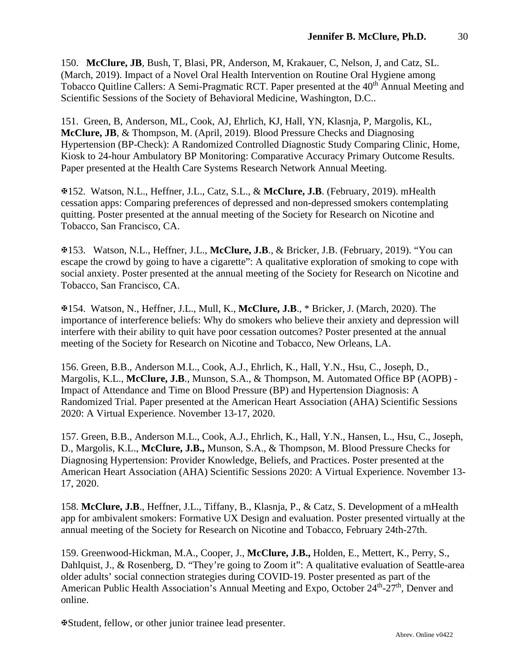150. **McClure, JB**, Bush, T, Blasi, PR, Anderson, M, Krakauer, C, Nelson, J, and Catz, SL. (March, 2019). Impact of a Novel Oral Health Intervention on Routine Oral Hygiene among Tobacco Quitline Callers: A Semi-Pragmatic RCT. Paper presented at the 40<sup>th</sup> Annual Meeting and Scientific Sessions of the Society of Behavioral Medicine, Washington, D.C..

151. Green, B, Anderson, ML, Cook, AJ, Ehrlich, KJ, Hall, YN, Klasnja, P, Margolis, KL, **McClure, JB**, & Thompson, M. (April, 2019). Blood Pressure Checks and Diagnosing Hypertension (BP-Check): A Randomized Controlled Diagnostic Study Comparing Clinic, Home, Kiosk to 24-hour Ambulatory BP Monitoring: Comparative Accuracy Primary Outcome Results. Paper presented at the Health Care Systems Research Network Annual Meeting.

152. Watson, N.L., Heffner, J.L., Catz, S.L., & **McClure, J.B**. (February, 2019). mHealth cessation apps: Comparing preferences of depressed and non-depressed smokers contemplating quitting. Poster presented at the annual meeting of the Society for Research on Nicotine and Tobacco, San Francisco, CA.

153. Watson, N.L., Heffner, J.L., **McClure, J.B**., & Bricker, J.B. (February, 2019). "You can escape the crowd by going to have a cigarette": A qualitative exploration of smoking to cope with social anxiety. Poster presented at the annual meeting of the Society for Research on Nicotine and Tobacco, San Francisco, CA.

154. Watson, N., Heffner, J.L., Mull, K., **McClure, J.B**., \* Bricker, J. (March, 2020). The importance of interference beliefs: Why do smokers who believe their anxiety and depression will interfere with their ability to quit have poor cessation outcomes? Poster presented at the annual meeting of the Society for Research on Nicotine and Tobacco, New Orleans, LA.

156. Green, B.B., Anderson M.L., Cook, A.J., Ehrlich, K., Hall, Y.N., Hsu, C., Joseph, D., Margolis, K.L., **McClure, J.B**., Munson, S.A., & Thompson, M. Automated Office BP (AOPB) - Impact of Attendance and Time on Blood Pressure (BP) and Hypertension Diagnosis: A Randomized Trial. Paper presented at the American Heart Association (AHA) Scientific Sessions 2020: A Virtual Experience. November 13-17, 2020.

157. Green, B.B., Anderson M.L., Cook, A.J., Ehrlich, K., Hall, Y.N., Hansen, L., Hsu, C., Joseph, D., Margolis, K.L., **McClure, J.B.,** Munson, S.A., & Thompson, M. Blood Pressure Checks for Diagnosing Hypertension: Provider Knowledge, Beliefs, and Practices. Poster presented at the American Heart Association (AHA) Scientific Sessions 2020: A Virtual Experience. November 13- 17, 2020.

158. **McClure, J.B**., Heffner, J.L., Tiffany, B., Klasnja, P., & Catz, S. Development of a mHealth app for ambivalent smokers: Formative UX Design and evaluation. Poster presented virtually at the annual meeting of the Society for Research on Nicotine and Tobacco, February 24th-27th.

159. Greenwood-Hickman, M.A., Cooper, J., **McClure, J.B.,** Holden, E., Mettert, K., Perry, S., Dahlquist, J., & Rosenberg, D. "They're going to Zoom it": A qualitative evaluation of Seattle-area older adults' social connection strategies during COVID-19. Poster presented as part of the American Public Health Association's Annual Meeting and Expo, October 24<sup>th</sup>-27<sup>th</sup>, Denver and online.

Student, fellow, or other junior trainee lead presenter.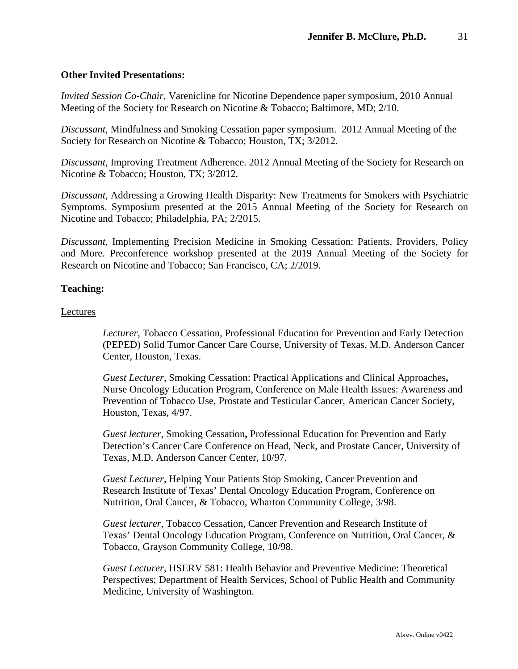#### **Other Invited Presentations:**

*Invited Session Co-Chair*, Varenicline for Nicotine Dependence paper symposium, 2010 Annual Meeting of the Society for Research on Nicotine & Tobacco; Baltimore, MD; 2/10.

*Discussant,* Mindfulness and Smoking Cessation paper symposium. 2012 Annual Meeting of the Society for Research on Nicotine & Tobacco; Houston, TX; 3/2012.

*Discussant*, Improving Treatment Adherence. 2012 Annual Meeting of the Society for Research on Nicotine & Tobacco; Houston, TX; 3/2012.

*Discussant*, Addressing a Growing Health Disparity: New Treatments for Smokers with Psychiatric Symptoms. Symposium presented at the 2015 Annual Meeting of the Society for Research on Nicotine and Tobacco; Philadelphia, PA; 2/2015.

*Discussant*, Implementing Precision Medicine in Smoking Cessation: Patients, Providers, Policy and More. Preconference workshop presented at the 2019 Annual Meeting of the Society for Research on Nicotine and Tobacco; San Francisco, CA; 2/2019.

#### **Teaching:**

#### Lectures

*Lecturer*, Tobacco Cessation, Professional Education for Prevention and Early Detection (PEPED) Solid Tumor Cancer Care Course, University of Texas, M.D. Anderson Cancer Center, Houston, Texas.

*Guest Lecturer*, Smoking Cessation: Practical Applications and Clinical Approaches**,**  Nurse Oncology Education Program, Conference on Male Health Issues: Awareness and Prevention of Tobacco Use, Prostate and Testicular Cancer, American Cancer Society, Houston, Texas, 4/97.

*Guest lecturer*, Smoking Cessation**,** Professional Education for Prevention and Early Detection's Cancer Care Conference on Head, Neck, and Prostate Cancer, University of Texas, M.D. Anderson Cancer Center, 10/97.

*Guest Lecturer*, Helping Your Patients Stop Smoking, Cancer Prevention and Research Institute of Texas' Dental Oncology Education Program, Conference on Nutrition, Oral Cancer, & Tobacco, Wharton Community College, 3/98.

*Guest lecturer*, Tobacco Cessation*,* Cancer Prevention and Research Institute of Texas' Dental Oncology Education Program, Conference on Nutrition, Oral Cancer, & Tobacco, Grayson Community College, 10/98.

*Guest Lecturer*, HSERV 581: Health Behavior and Preventive Medicine: Theoretical Perspectives; Department of Health Services, School of Public Health and Community Medicine, University of Washington.